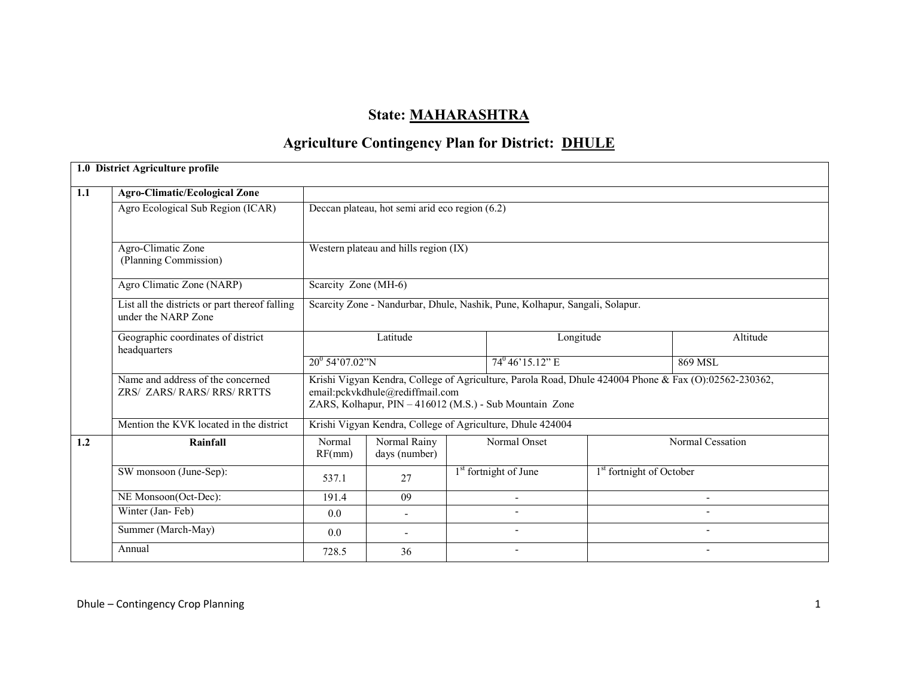# State: MAHARASHTRA

# **Agriculture Contingency Plan for District: DHULE**

|     | 1.0 District Agriculture profile                                      |                      |                                                |  |                                                                             |                                      |                                                                                                       |
|-----|-----------------------------------------------------------------------|----------------------|------------------------------------------------|--|-----------------------------------------------------------------------------|--------------------------------------|-------------------------------------------------------------------------------------------------------|
| 1.1 | <b>Agro-Climatic/Ecological Zone</b>                                  |                      |                                                |  |                                                                             |                                      |                                                                                                       |
|     | Agro Ecological Sub Region (ICAR)                                     |                      | Deccan plateau, hot semi arid eco region (6.2) |  |                                                                             |                                      |                                                                                                       |
|     | Agro-Climatic Zone<br>(Planning Commission)                           |                      | Western plateau and hills region (IX)          |  |                                                                             |                                      |                                                                                                       |
|     | Agro Climatic Zone (NARP)                                             | Scarcity Zone (MH-6) |                                                |  |                                                                             |                                      |                                                                                                       |
|     | List all the districts or part thereof falling<br>under the NARP Zone |                      |                                                |  | Scarcity Zone - Nandurbar, Dhule, Nashik, Pune, Kolhapur, Sangali, Solapur. |                                      |                                                                                                       |
|     | Geographic coordinates of district<br>headquarters                    | Latitude             |                                                |  | Longitude                                                                   |                                      | Altitude                                                                                              |
|     |                                                                       | $20^0$ 54'07.02"N    |                                                |  | $74^{\circ}46'15.12"$ E                                                     |                                      | 869 MSL                                                                                               |
|     | Name and address of the concerned<br>ZRS/ ZARS/ RARS/ RRS/ RRTTS      |                      | email:pckvkdhule@rediffmail.com                |  | ZARS, Kolhapur, PIN - 416012 (M.S.) - Sub Mountain Zone                     |                                      | Krishi Vigyan Kendra, College of Agriculture, Parola Road, Dhule 424004 Phone & Fax (O):02562-230362, |
|     | Mention the KVK located in the district                               |                      |                                                |  | Krishi Vigyan Kendra, College of Agriculture, Dhule 424004                  |                                      |                                                                                                       |
| 1.2 | Rainfall                                                              | Normal<br>RF(mm)     | Normal Rainy<br>days (number)                  |  | Normal Onset                                                                |                                      | Normal Cessation                                                                                      |
|     | SW monsoon (June-Sep):                                                | 537.1                | 27                                             |  | 1 <sup>st</sup> fortnight of June                                           | 1 <sup>st</sup> fortnight of October |                                                                                                       |
|     | NE Monsoon(Oct-Dec):                                                  | 191.4                | 09                                             |  | $\blacksquare$                                                              |                                      | $\overline{\phantom{a}}$                                                                              |
|     | Winter (Jan-Feb)                                                      | 0.0                  | $\overline{a}$                                 |  |                                                                             |                                      |                                                                                                       |
|     | Summer (March-May)                                                    | 0.0                  |                                                |  | $\overline{\phantom{a}}$                                                    |                                      |                                                                                                       |
|     | Annual                                                                | 728.5                | 36                                             |  |                                                                             |                                      |                                                                                                       |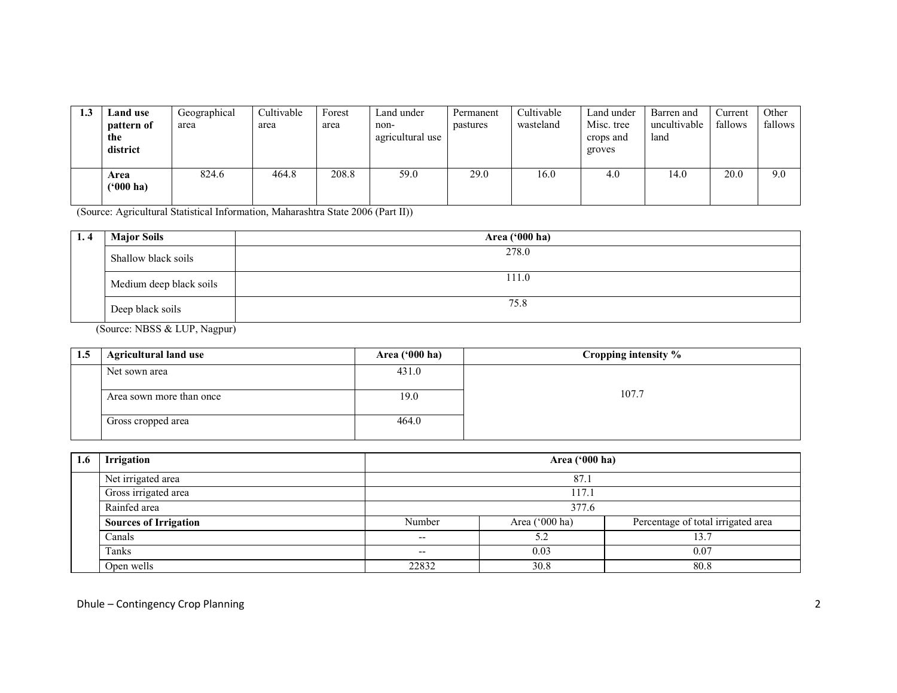| 1.3 | Land use<br>pattern of<br>the<br>district | Geographical<br>area | Cultivable<br>area | Forest<br>area | Land under<br>non-<br>agricultural use | Permanent<br>pastures | Cultivable<br>wasteland | Land under<br>Misc. tree<br>crops and<br>groves | Barren and<br>uncultivable<br>land | ∠urrent<br>fallows | Other<br>fallows |
|-----|-------------------------------------------|----------------------|--------------------|----------------|----------------------------------------|-----------------------|-------------------------|-------------------------------------------------|------------------------------------|--------------------|------------------|
|     | Area<br>$(900)$ ha)                       | 824.6                | 464.8              | 208.8          | 59.0                                   | 29.0                  | 16.0                    | 4.0                                             | 14.0                               | 20.0               | 9.0              |

(Source: Agricultural Statistical Information, Maharashtra State 2006 (Part II))

| 1.4 | <b>Major Soils</b>                                                                                | Area ('000 ha) |
|-----|---------------------------------------------------------------------------------------------------|----------------|
|     | Shallow black soils                                                                               | 278.0          |
|     | Medium deep black soils                                                                           | 111.0          |
|     | Deep black soils                                                                                  | 75.8           |
|     | $(S_{\text{ouro}} \cap \text{NDCC} \cup \text{F} \text{I} \text{ID} \cup \text{N}_{\text{conv}})$ |                |

(Source: NBSS & LUP, Nagpur)

| 1.5 | <b>Agricultural land use</b> | Area $(900 \text{ ha})$ | Cropping intensity % |
|-----|------------------------------|-------------------------|----------------------|
|     | Net sown area                | 431.0                   |                      |
|     | Area sown more than once     | 19.0                    | 107.7                |
|     | Gross cropped area           | 464.0                   |                      |

| 1.6 | <b>Irrigation</b>            |        | Area ('000 ha) |                                    |  |
|-----|------------------------------|--------|----------------|------------------------------------|--|
|     | Net irrigated area           |        | 87.1           |                                    |  |
|     | Gross irrigated area         |        | 117.1          |                                    |  |
|     | Rainfed area                 | 377.6  |                |                                    |  |
|     | <b>Sources of Irrigation</b> | Number | Area ('000 ha) | Percentage of total irrigated area |  |
|     | Canals                       | --     | 5.2            | 13.'                               |  |
|     | Tanks                        | --     | 0.03           | 0.07                               |  |
|     | Open wells                   | 22832  | 30.8           | 80.8                               |  |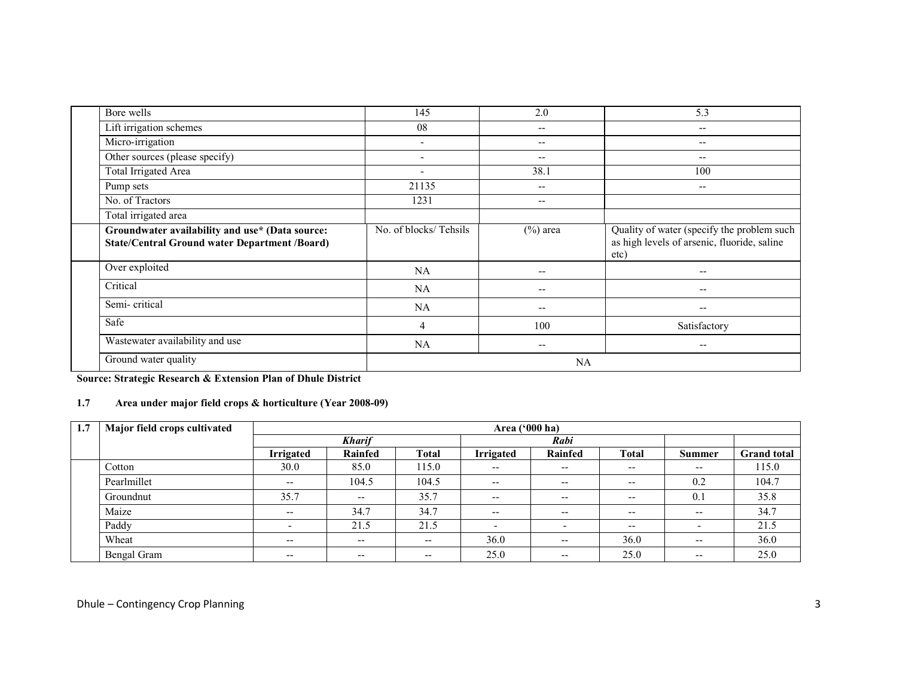| Bore wells                                                                                              | 145                      | 2.0                      | 5.3                                                                                               |
|---------------------------------------------------------------------------------------------------------|--------------------------|--------------------------|---------------------------------------------------------------------------------------------------|
| Lift irrigation schemes                                                                                 | 08                       | --                       | $\overline{\phantom{a}}$                                                                          |
| Micro-irrigation                                                                                        | $\overline{\phantom{a}}$ | $\overline{\phantom{a}}$ | $-$                                                                                               |
| Other sources (please specify)                                                                          | $\overline{\phantom{a}}$ | --                       | $- -$                                                                                             |
| <b>Total Irrigated Area</b>                                                                             | $\overline{\phantom{a}}$ | 38.1                     | 100                                                                                               |
| Pump sets                                                                                               | 21135                    | --                       | $\overline{\phantom{m}}$                                                                          |
| No. of Tractors                                                                                         | 1231                     | --                       |                                                                                                   |
| Total irrigated area                                                                                    |                          |                          |                                                                                                   |
| Groundwater availability and use* (Data source:<br><b>State/Central Ground water Department /Board)</b> | No. of blocks/Tehsils    | $(\%)$ area              | Quality of water (specify the problem such<br>as high levels of arsenic, fluoride, saline<br>etc) |
| Over exploited                                                                                          | NA                       | --                       |                                                                                                   |
| Critical                                                                                                | NA                       | $- -$                    | --                                                                                                |
| Semi-critical                                                                                           | NA                       | --                       | --                                                                                                |
| Safe                                                                                                    | 4                        | 100                      | Satisfactory                                                                                      |
| Wastewater availability and use                                                                         | <b>NA</b>                | $\qquad \qquad -$        | --                                                                                                |
| Ground water quality                                                                                    |                          | NA                       |                                                                                                   |

Source: Strategic Research & Extension Plan of Dhule District

# 1.7 Area under major field crops & horticulture (Year 2008-09)

| 1.7 | Major field crops cultivated |                          | Area ('000 ha)           |              |                          |                          |              |                          |                    |  |  |
|-----|------------------------------|--------------------------|--------------------------|--------------|--------------------------|--------------------------|--------------|--------------------------|--------------------|--|--|
|     |                              | <b>Kharif</b>            |                          |              |                          | Rabi                     |              |                          |                    |  |  |
|     |                              | <b>Irrigated</b>         | Rainfed                  | <b>Total</b> | <b>Irrigated</b>         | Rainfed                  | <b>Total</b> | <b>Summer</b>            | <b>Grand</b> total |  |  |
|     | Cotton                       | 30.0                     | 85.0                     | 115.0        | $\overline{\phantom{m}}$ | $\overline{\phantom{a}}$ | $- -$        | $\overline{\phantom{m}}$ | 115.0              |  |  |
|     | Pearlmillet                  | $\overline{\phantom{m}}$ | 104.5                    | 104.5        | $\overline{\phantom{m}}$ | $\overline{\phantom{a}}$ | $- -$        | 0.2                      | 104.7              |  |  |
|     | Groundnut                    | 35.7                     | $\overline{\phantom{m}}$ | 35.7         | $\overline{\phantom{m}}$ | $\overline{\phantom{a}}$ | $- -$        | 0.1                      | 35.8               |  |  |
|     | Maize                        | $\overline{\phantom{m}}$ | 34.7                     | 34.7         | $\overline{\phantom{a}}$ | $\overline{\phantom{a}}$ | --           | $\overline{\phantom{m}}$ | 34.7               |  |  |
|     | Paddy                        | $\overline{\phantom{0}}$ | 21.5                     | 21.5         | $\overline{\phantom{a}}$ | $\overline{\phantom{a}}$ | $- -$        | $\overline{\phantom{a}}$ | 21.5               |  |  |
|     | Wheat                        | $\overline{\phantom{m}}$ | $- -$                    | $- -$        | 36.0                     | $\overline{\phantom{a}}$ | 36.0         | $- -$                    | 36.0               |  |  |
|     | Bengal Gram                  | $\overline{\phantom{m}}$ | $- -$                    | $- -$        | 25.0                     | $- -$                    | 25.0         | $- -$                    | 25.0               |  |  |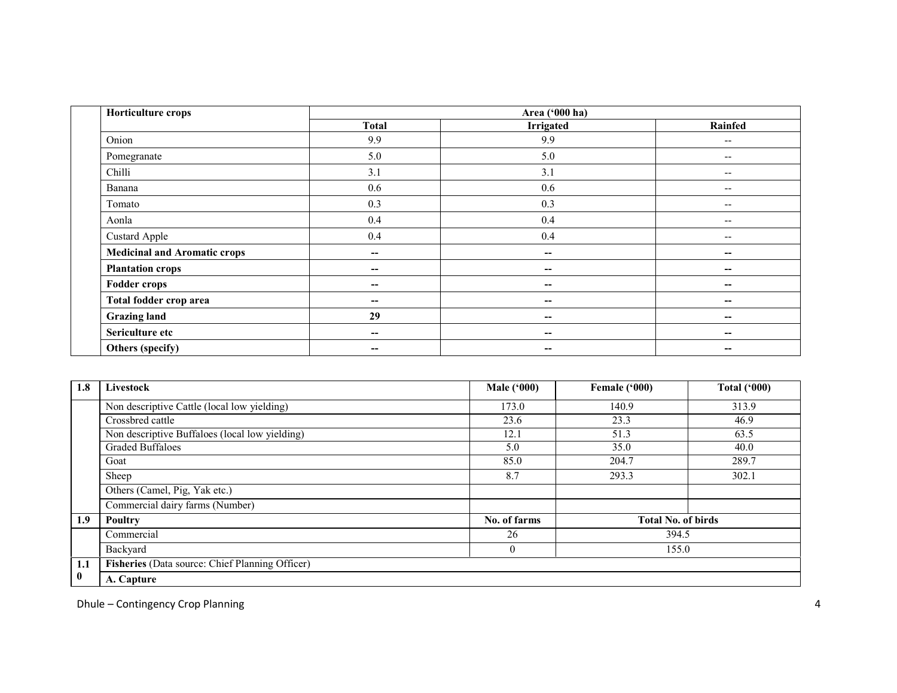| Horticulture crops                  |                          | Area ('000 ha)           |                          |
|-------------------------------------|--------------------------|--------------------------|--------------------------|
|                                     | <b>Total</b>             | <b>Irrigated</b>         | Rainfed                  |
| Onion                               | 9.9                      | 9.9                      | $- -$                    |
| Pomegranate                         | 5.0                      | 5.0                      | $\overline{\phantom{m}}$ |
| Chilli                              | 3.1                      | 3.1                      | $- -$                    |
| Banana                              | 0.6                      | 0.6                      | $- -$                    |
| Tomato                              | 0.3                      | 0.3                      | $- -$                    |
| Aonla                               | 0.4                      | 0.4                      | --                       |
| <b>Custard Apple</b>                | 0.4                      | 0.4                      | $- -$                    |
| <b>Medicinal and Aromatic crops</b> | $\sim$                   | $\overline{\phantom{a}}$ | --                       |
| <b>Plantation crops</b>             | $\overline{\phantom{a}}$ | $-$                      | --                       |
| <b>Fodder crops</b>                 | --                       | $-$                      | --                       |
| Total fodder crop area              | $- -$                    | $-$                      | --                       |
| <b>Grazing land</b>                 | 29                       | $-$                      | --                       |
| Sericulture etc                     | $\overline{\phantom{a}}$ | $\overline{\phantom{m}}$ | --                       |
| Others (specify)                    | $- -$                    | $- -$                    | --                       |

| 1.8      | Livestock                                       | Male $(900)$   | Female ('000)             | <b>Total ('000)</b> |
|----------|-------------------------------------------------|----------------|---------------------------|---------------------|
|          | Non descriptive Cattle (local low yielding)     | 173.0          | 140.9                     | 313.9               |
|          | Crossbred cattle                                | 23.6           | 23.3                      | 46.9                |
|          | Non descriptive Buffaloes (local low yielding)  | 12.1           | 51.3                      | 63.5                |
|          | <b>Graded Buffaloes</b>                         | 5.0            | 35.0                      | 40.0                |
|          | Goat                                            | 85.0           | 204.7                     | 289.7               |
|          | Sheep                                           | 8.7            | 293.3                     | 302.1               |
|          | Others (Camel, Pig, Yak etc.)                   |                |                           |                     |
|          | Commercial dairy farms (Number)                 |                |                           |                     |
| 1.9      | Poultry                                         | No. of farms   | <b>Total No. of birds</b> |                     |
|          | Commercial                                      | 26             | 394.5                     |                     |
|          | Backyard                                        | $\overline{0}$ | 155.0                     |                     |
| 1.1      | Fisheries (Data source: Chief Planning Officer) |                |                           |                     |
| $\bf{0}$ | A. Capture                                      |                |                           |                     |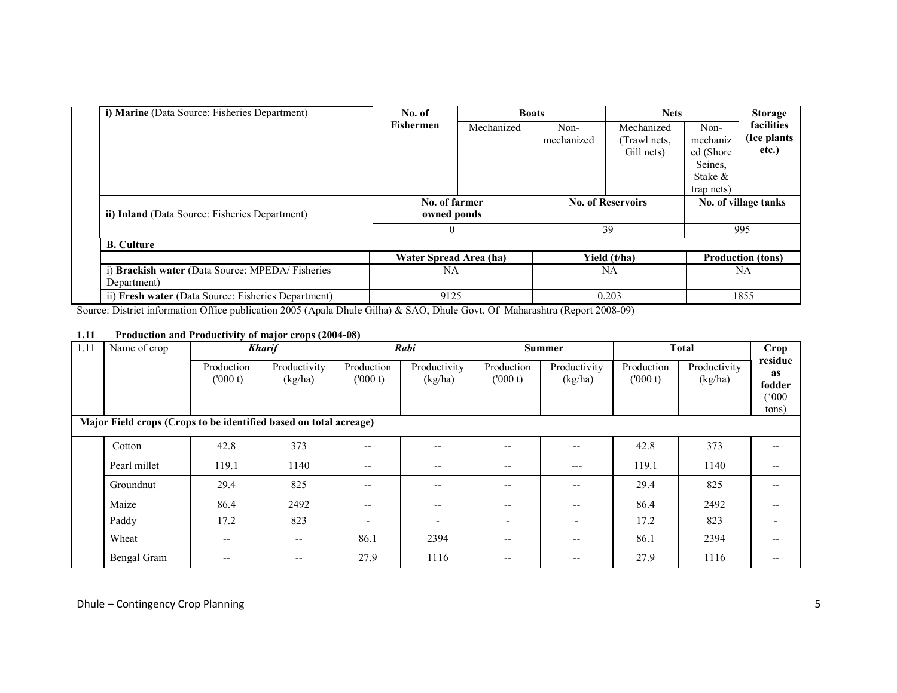| i) Marine (Data Source: Fisheries Department)                  | No. of                 | <b>Boats</b>                 |            | <b>Nets</b>              |            | <b>Storage</b>           |  |
|----------------------------------------------------------------|------------------------|------------------------------|------------|--------------------------|------------|--------------------------|--|
|                                                                | <b>Fishermen</b>       | Mechanized                   | Non-       | Mechanized               | Non-       | facilities               |  |
|                                                                |                        |                              | mechanized | (Trawl nets,             | mechaniz   | (Ice plants              |  |
|                                                                |                        |                              |            | Gill nets)               | ed (Shore  | etc.)                    |  |
|                                                                |                        |                              |            |                          | Seines.    |                          |  |
|                                                                |                        |                              |            |                          | Stake &    |                          |  |
|                                                                |                        |                              |            |                          | trap nets) |                          |  |
| ii) Inland (Data Source: Fisheries Department)                 |                        | No. of farmer<br>owned ponds |            | <b>No. of Reservoirs</b> |            | No. of village tanks     |  |
|                                                                |                        |                              |            | 39                       |            | 995                      |  |
| <b>B.</b> Culture                                              |                        |                              |            |                          |            |                          |  |
|                                                                | Water Spread Area (ha) |                              |            | Yield (t/ha)             |            | <b>Production (tons)</b> |  |
| i) Brackish water (Data Source: MPEDA/Fisheries<br>Department) | NA                     |                              |            | <b>NA</b>                |            | NA                       |  |
| ii) Fresh water (Data Source: Fisheries Department)            | 9125                   |                              |            | 0.203                    |            | 1855                     |  |

Source: District information Office publication 2005 (Apala Dhule Gilha) & SAO, Dhule Govt. Of Maharashtra (Report 2008-09)

### 1.11 Production and Productivity of major crops (2004-08)

| 1.11                                                              | Name of crop |                          | <b>Kharif</b>           |                          | Rabi                     |                          | <b>Summer</b>            | <b>Total</b>          |                         | Crop                                             |
|-------------------------------------------------------------------|--------------|--------------------------|-------------------------|--------------------------|--------------------------|--------------------------|--------------------------|-----------------------|-------------------------|--------------------------------------------------|
|                                                                   |              | Production<br>(000 t)    | Productivity<br>(kg/ha) | Production<br>(000 t)    | Productivity<br>(kg/ha)  | Production<br>(000 t)    | Productivity<br>(kg/ha)  | Production<br>(000 t) | Productivity<br>(kg/ha) | residue<br><b>as</b><br>fodder<br>(000)<br>tons) |
| Major Field crops (Crops to be identified based on total acreage) |              |                          |                         |                          |                          |                          |                          |                       |                         |                                                  |
|                                                                   | Cotton       | 42.8                     | 373                     | $- -$                    |                          | --                       | $-$                      | 42.8                  | 373                     |                                                  |
|                                                                   | Pearl millet | 119.1                    | 1140                    | --                       | --                       | $- -$                    | $---$                    | 119.1                 | 1140                    |                                                  |
|                                                                   | Groundnut    | 29.4                     | 825                     | $\overline{\phantom{m}}$ | --                       | $\overline{\phantom{m}}$ | $\overline{\phantom{m}}$ | 29.4                  | 825                     | $\overline{\phantom{m}}$                         |
|                                                                   | Maize        | 86.4                     | 2492                    | $- -$                    |                          | --                       | --                       | 86.4                  | 2492                    | --                                               |
|                                                                   | Paddy        | 17.2                     | 823                     | $\overline{\phantom{a}}$ | $\overline{\phantom{0}}$ | -                        | ٠                        | 17.2                  | 823                     |                                                  |
|                                                                   | Wheat        | $\overline{\phantom{m}}$ | $- -$                   | 86.1                     | 2394                     | $\overline{\phantom{m}}$ | --                       | 86.1                  | 2394                    |                                                  |
|                                                                   | Bengal Gram  | $\overline{\phantom{m}}$ | --                      | 27.9                     | 1116                     | --                       | --                       | 27.9                  | 1116                    | $\overline{\phantom{m}}$                         |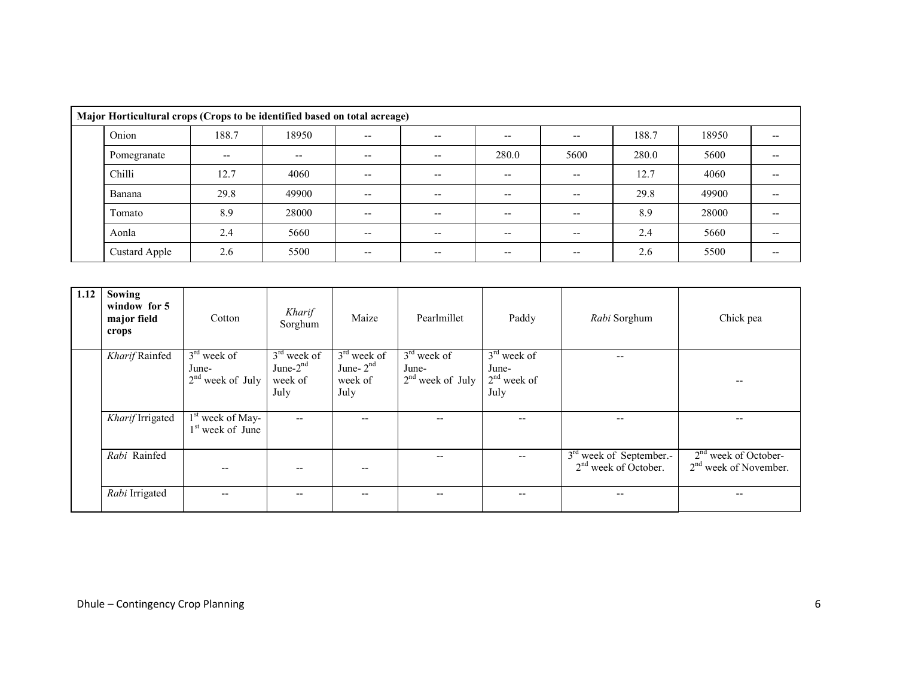|  | Major Horticultural crops (Crops to be identified based on total acreage) |       |       |                          |       |       |       |       |       |       |
|--|---------------------------------------------------------------------------|-------|-------|--------------------------|-------|-------|-------|-------|-------|-------|
|  | Onion                                                                     | 188.7 | 18950 | $- -$                    | $- -$ | $- -$ | --    | 188.7 | 18950 |       |
|  | Pomegranate                                                               | $- -$ | $- -$ | $\overline{\phantom{a}}$ | $- -$ | 280.0 | 5600  | 280.0 | 5600  |       |
|  | Chilli                                                                    | 12.7  | 4060  | $- -$                    | $- -$ | $- -$ | --    | 12.7  | 4060  |       |
|  | Banana                                                                    | 29.8  | 49900 | $- -$                    | $- -$ | $- -$ |       | 29.8  | 49900 |       |
|  | Tomato                                                                    | 8.9   | 28000 | $- -$                    | $- -$ | $- -$ |       | 8.9   | 28000 |       |
|  | Aonla                                                                     | 2.4   | 5660  | $- -$                    | $- -$ | $- -$ | --    | 2.4   | 5660  |       |
|  | Custard Apple                                                             | 2.6   | 5500  | $- -$                    | $- -$ | $- -$ | $- -$ | 2.6   | 5500  | $- -$ |

| 1.12 | <b>Sowing</b><br>window for 5<br>major field<br>crops | Cotton                                       | Kharif<br>Sorghum                               | Maize                                           | Pearlmillet                                  | Paddy                                           | Rabi Sorghum                                        | Chick pea                                         |
|------|-------------------------------------------------------|----------------------------------------------|-------------------------------------------------|-------------------------------------------------|----------------------------------------------|-------------------------------------------------|-----------------------------------------------------|---------------------------------------------------|
|      | Kharif Rainfed                                        | $3rd$ week of<br>June-<br>$2nd$ week of July | $3rd$ week of<br>June- $2nd$<br>week of<br>July | $3rd$ week of<br>June- $2nd$<br>week of<br>July | $3rd$ week of<br>June-<br>$2nd$ week of July | $3rd$ week of<br>June-<br>$2nd$ week of<br>July | $\qquad \qquad -$                                   | --                                                |
|      | Kharif Irrigated                                      | $1st$ week of May-<br>$1st$ week of June     | $\overline{\phantom{a}}$                        |                                                 |                                              | --                                              | $\qquad \qquad -$                                   | --                                                |
|      | Rabi Rainfed                                          |                                              | --                                              |                                                 |                                              | --                                              | $3rd$ week of September.-<br>$2nd$ week of October. | $2nd$ week of October-<br>$2nd$ week of November. |
|      | Rabi Irrigated                                        |                                              | --                                              | --                                              |                                              | --                                              | $- -$                                               | --                                                |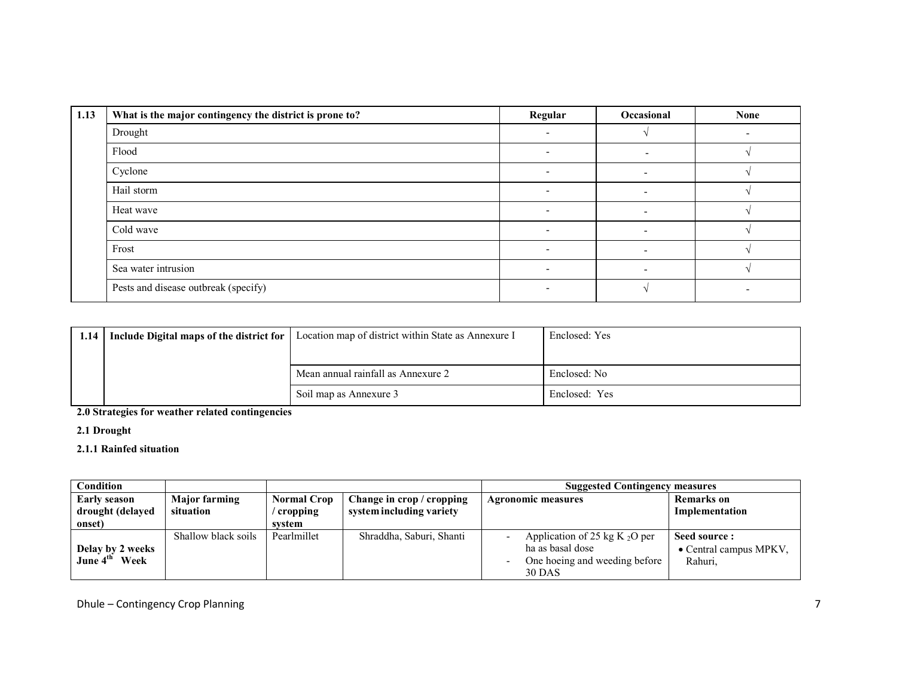| 1.13 | What is the major contingency the district is prone to? | Regular | Occasional               | <b>None</b> |
|------|---------------------------------------------------------|---------|--------------------------|-------------|
|      | Drought                                                 |         |                          |             |
|      | Flood                                                   |         |                          |             |
|      | Cyclone                                                 |         |                          |             |
|      | Hail storm                                              |         |                          |             |
|      | Heat wave                                               | -       |                          |             |
|      | Cold wave                                               |         |                          |             |
|      | Frost                                                   |         |                          |             |
|      | Sea water intrusion                                     |         | $\overline{\phantom{0}}$ |             |
|      | Pests and disease outbreak (specify)                    | -       |                          |             |

| 1.14 | Include Digital maps of the district for | Location map of district within State as Annexure I | Enclosed: Yes |
|------|------------------------------------------|-----------------------------------------------------|---------------|
|      |                                          |                                                     |               |
|      |                                          | Mean annual rainfall as Annexure 2                  | Enclosed: No  |
|      |                                          | Soil map as Annexure 3                              | Enclosed: Yes |

2.0 Strategies for weather related contingencies

2.1 Drought

2.1.1 Rainfed situation

| Condition                        |                                   |                                  |                                                       | <b>Suggested Contingency measures</b>                |                                         |
|----------------------------------|-----------------------------------|----------------------------------|-------------------------------------------------------|------------------------------------------------------|-----------------------------------------|
| Early season<br>drought (delayed | <b>Major farming</b><br>situation | <b>Normal Crop</b><br>/ cropping | Change in crop / cropping<br>system including variety | <b>Agronomic measures</b>                            | <b>Remarks</b> on<br>Implementation     |
| onset)                           |                                   | system                           |                                                       |                                                      |                                         |
| Delay by 2 weeks                 | Shallow black soils               | Pearlmillet                      | Shraddha, Saburi, Shanti                              | Application of 25 kg K $_2O$ per<br>ha as basal dose | Seed source :<br>• Central campus MPKV, |
| Week<br>June 4 <sup>th</sup>     |                                   |                                  |                                                       | One hoeing and weeding before<br><b>30 DAS</b>       | Rahuri,                                 |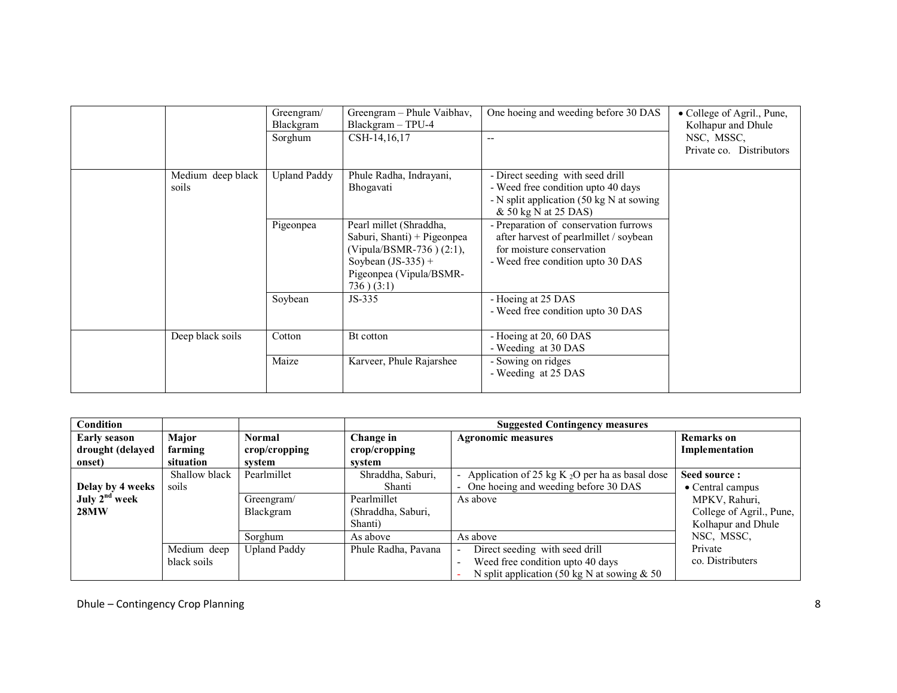|                            | Greengram/<br>Blackgram<br>Sorghum | Greengram – Phule Vaibhav,<br>Blackgram - TPU-4<br>CSH-14,16,17                                                                                         | One hoeing and weeding before 30 DAS<br>--                                                                                                        | • College of Agril., Pune,<br>Kolhapur and Dhule<br>NSC, MSSC,<br>Private co. Distributors |
|----------------------------|------------------------------------|---------------------------------------------------------------------------------------------------------------------------------------------------------|---------------------------------------------------------------------------------------------------------------------------------------------------|--------------------------------------------------------------------------------------------|
| Medium deep black<br>soils | <b>Upland Paddy</b>                | Phule Radha, Indrayani,<br>Bhogavati                                                                                                                    | - Direct seeding with seed drill<br>- Weed free condition upto 40 days<br>- N split application (50 kg N at sowing<br>& 50 kg N at 25 DAS)        |                                                                                            |
|                            | Pigeonpea                          | Pearl millet (Shraddha,<br>Saburi, Shanti) + Pigeonpea<br>(Vipula/BSMR-736) (2:1),<br>Soybean $(JS-335)$ +<br>Pigeonpea (Vipula/BSMR-<br>$736)$ $(3:1)$ | - Preparation of conservation furrows<br>after harvest of pearlmillet / soybean<br>for moisture conservation<br>- Weed free condition upto 30 DAS |                                                                                            |
|                            | Soybean                            | JS-335                                                                                                                                                  | - Hoeing at 25 DAS<br>- Weed free condition upto 30 DAS                                                                                           |                                                                                            |
| Deep black soils           | Cotton                             | Bt cotton                                                                                                                                               | - Hoeing at 20, 60 DAS<br>- Weeding at 30 DAS                                                                                                     |                                                                                            |
|                            | Maize                              | Karveer, Phule Rajarshee                                                                                                                                | - Sowing on ridges<br>- Weeding at 25 DAS                                                                                                         |                                                                                            |

| Condition                 |               |                     | <b>Suggested Contingency measures</b> |                                                   |                          |  |
|---------------------------|---------------|---------------------|---------------------------------------|---------------------------------------------------|--------------------------|--|
| <b>Early season</b>       | Major         | <b>Normal</b>       | Change in                             | <b>Agronomic measures</b>                         | <b>Remarks</b> on        |  |
| drought (delayed          | farming       | crop/cropping       | $\mathbf{crop}/\mathbf{cropping}$     |                                                   | Implementation           |  |
| onset)                    | situation     | system              | system                                |                                                   |                          |  |
|                           | Shallow black | Pearlmillet         | Shraddha, Saburi,                     | Application of 25 kg K $_2O$ per ha as basal dose | Seed source:             |  |
| Delay by 4 weeks          | soils         |                     | Shanti                                | One hoeing and weeding before 30 DAS              | • Central campus         |  |
| July 2 <sup>nd</sup> week |               | Greengram/          | Pearlmillet                           | As above                                          | MPKV, Rahuri,            |  |
| 28MW                      |               | Blackgram           | (Shraddha, Saburi,                    |                                                   | College of Agril., Pune, |  |
|                           |               |                     | Shanti)                               |                                                   | Kolhapur and Dhule       |  |
|                           |               | Sorghum             | As above                              | As above                                          | NSC, MSSC,               |  |
|                           | Medium deep   | <b>Upland Paddy</b> | Phule Radha, Pavana                   | Direct seeding with seed drill                    | Private                  |  |
|                           | black soils   |                     |                                       | Weed free condition upto 40 days                  | co. Distributers         |  |
|                           |               |                     |                                       | N split application (50 kg N at sowing $& 50$     |                          |  |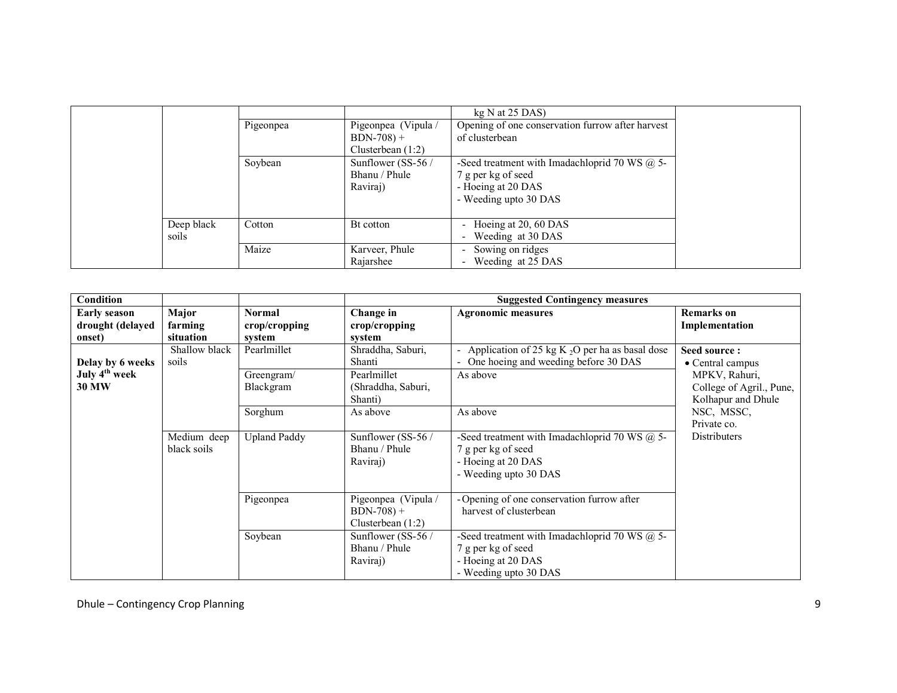|            |           |                     | kg N at 25 DAS                                    |
|------------|-----------|---------------------|---------------------------------------------------|
|            | Pigeonpea | Pigeonpea (Vipula / | Opening of one conservation furrow after harvest  |
|            |           | $BDN-708$ +         | of clusterbean                                    |
|            |           | Clusterbean $(1:2)$ |                                                   |
|            | Soybean   | Sunflower (SS-56 /  | -Seed treatment with Imadachloprid 70 WS $(a)$ 5- |
|            |           | Bhanu / Phule       | 7 g per kg of seed                                |
|            |           | Raviraj)            | - Hoeing at 20 DAS                                |
|            |           |                     | - Weeding upto 30 DAS                             |
|            |           |                     |                                                   |
| Deep black | Cotton    | Bt cotton           | Hoeing at 20, 60 DAS                              |
| soils      |           |                     | Weeding at 30 DAS                                 |
|            | Maize     | Karveer, Phule      | Sowing on ridges<br>$\overline{\phantom{0}}$      |
|            |           | Rajarshee           | Weeding at 25 DAS                                 |

| Condition                                         |                               |                                          |                                                           | <b>Suggested Contingency measures</b>                                                                                  |                                                                 |
|---------------------------------------------------|-------------------------------|------------------------------------------|-----------------------------------------------------------|------------------------------------------------------------------------------------------------------------------------|-----------------------------------------------------------------|
| <b>Early season</b><br>drought (delayed<br>onset) | Major<br>farming<br>situation | <b>Normal</b><br>crop/cropping<br>system | Change in<br>crop/cropping<br>system                      | <b>Agronomic measures</b>                                                                                              | <b>Remarks</b> on<br>Implementation                             |
| Delay by 6 weeks                                  | Shallow black<br>soils        | Pearlmillet                              | Shraddha, Saburi,<br>Shanti                               | - Application of 25 kg K $_2O$ per ha as basal dose<br>One hoeing and weeding before 30 DAS                            | Seed source:<br>• Central campus                                |
| July 4 <sup>th</sup> week<br><b>30 MW</b>         |                               | Greengram/<br>Blackgram                  | Pearlmillet<br>(Shraddha, Saburi,<br>Shanti)              | As above                                                                                                               | MPKV, Rahuri,<br>College of Agril., Pune,<br>Kolhapur and Dhule |
|                                                   |                               | Sorghum                                  | As above                                                  | As above                                                                                                               | NSC, MSSC,<br>Private co.                                       |
|                                                   | Medium deep<br>black soils    | <b>Upland Paddy</b>                      | Sunflower (SS-56 /<br>Bhanu / Phule<br>Raviraj)           | -Seed treatment with Imadachloprid 70 WS $(a)$ 5-<br>7 g per kg of seed<br>- Hoeing at 20 DAS<br>- Weeding upto 30 DAS | Distributers                                                    |
|                                                   |                               | Pigeonpea                                | Pigeonpea (Vipula /<br>$BDN-708$ +<br>Clusterbean $(1:2)$ | - Opening of one conservation furrow after<br>harvest of clusterbean                                                   |                                                                 |
|                                                   |                               | Soybean                                  | Sunflower (SS-56 /<br>Bhanu / Phule<br>Raviraj)           | -Seed treatment with Imadachloprid 70 WS $(a)$ 5-<br>7 g per kg of seed<br>- Hoeing at 20 DAS<br>- Weeding upto 30 DAS |                                                                 |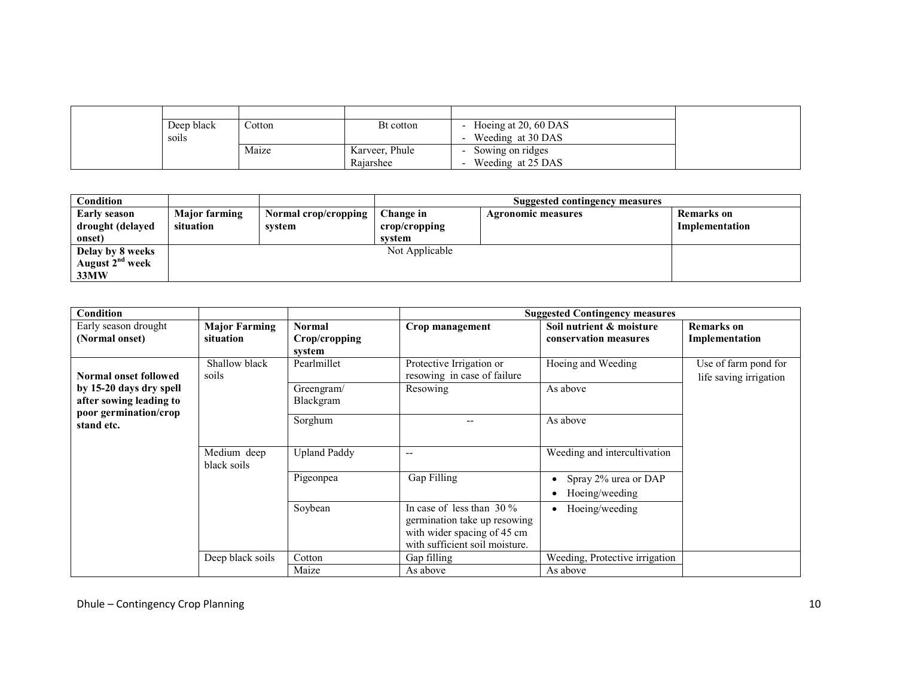| Deep black<br>soils | Cotton | Bt cotton                   | Hoeing at 20, 60 DAS<br>Weeding at 30 DAS |
|---------------------|--------|-----------------------------|-------------------------------------------|
|                     | Maize  | Karveer, Phule<br>Rajarshee | Sowing on ridges<br>Weeding at 25 DAS     |

| Condition                   |                      |                      |                | Suggested contingency measures |                   |
|-----------------------------|----------------------|----------------------|----------------|--------------------------------|-------------------|
| <b>Early season</b>         | <b>Major farming</b> | Normal crop/cropping | Change in      | <b>Agronomic measures</b>      | <b>Remarks</b> on |
| drought (delayed            | situation            | svstem               | crop/cropping  |                                | Implementation    |
| onset)                      |                      |                      | system         |                                |                   |
| Delay by 8 weeks            |                      |                      | Not Applicable |                                |                   |
| August 2 <sup>nd</sup> week |                      |                      |                |                                |                   |
| 33MW                        |                      |                      |                |                                |                   |

| Condition                                                                   |                                   |                                          |                                                                                                                              | <b>Suggested Contingency measures</b>             |                                                |
|-----------------------------------------------------------------------------|-----------------------------------|------------------------------------------|------------------------------------------------------------------------------------------------------------------------------|---------------------------------------------------|------------------------------------------------|
| Early season drought<br>(Normal onset)                                      | <b>Major Farming</b><br>situation | <b>Normal</b><br>Crop/cropping<br>system | Crop management                                                                                                              | Soil nutrient & moisture<br>conservation measures | <b>Remarks</b> on<br>Implementation            |
| <b>Normal onset followed</b>                                                | Shallow black<br>soils            | Pearlmillet                              | Protective Irrigation or<br>resowing in case of failure                                                                      | Hoeing and Weeding                                | Use of farm pond for<br>life saving irrigation |
| by 15-20 days dry spell<br>after sowing leading to<br>poor germination/crop |                                   | Greengram/<br>Blackgram                  | Resowing                                                                                                                     | As above                                          |                                                |
| stand etc.                                                                  |                                   | Sorghum                                  |                                                                                                                              | As above                                          |                                                |
|                                                                             | Medium deep<br>black soils        | <b>Upland Paddy</b>                      | $\overline{\phantom{a}}$                                                                                                     | Weeding and intercultivation                      |                                                |
|                                                                             |                                   | Pigeonpea                                | Gap Filling                                                                                                                  | Spray 2% urea or DAP<br>Hoeing/weeding            |                                                |
|                                                                             |                                   | Soybean                                  | In case of less than $30\%$<br>germination take up resowing<br>with wider spacing of 45 cm<br>with sufficient soil moisture. | Hoeing/weeding                                    |                                                |
|                                                                             | Deep black soils                  | Cotton<br>Maize                          | Gap filling<br>As above                                                                                                      | Weeding, Protective irrigation<br>As above        |                                                |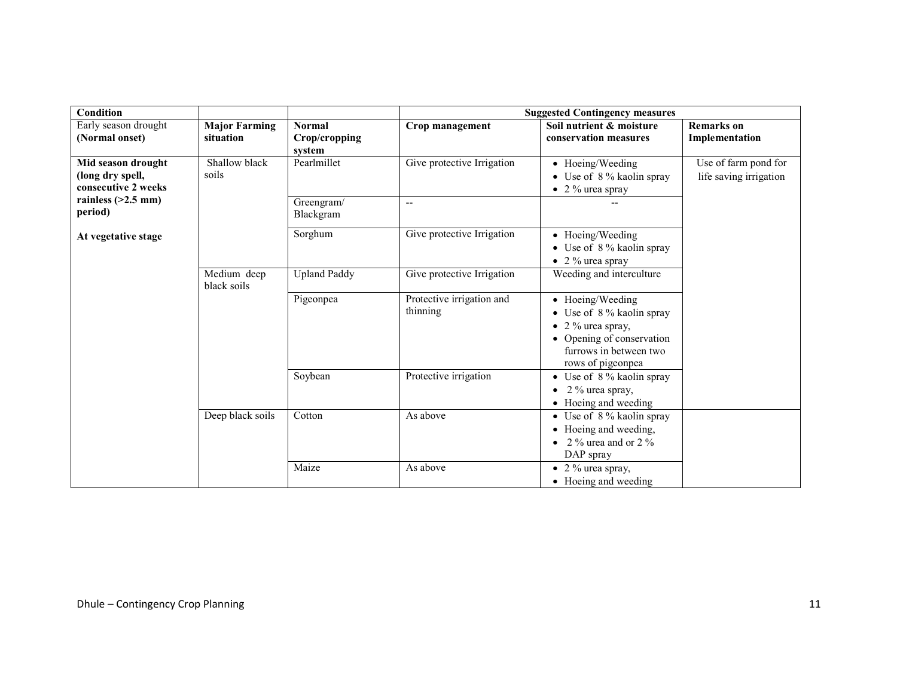| Condition                                                     |                            |                         |                                       | <b>Suggested Contingency measures</b>                                                                                                                    |                                                |
|---------------------------------------------------------------|----------------------------|-------------------------|---------------------------------------|----------------------------------------------------------------------------------------------------------------------------------------------------------|------------------------------------------------|
| Early season drought                                          | <b>Major Farming</b>       | <b>Normal</b>           | Crop management                       | Soil nutrient & moisture                                                                                                                                 | <b>Remarks</b> on                              |
| (Normal onset)                                                | situation                  | Crop/cropping<br>system |                                       | conservation measures                                                                                                                                    | Implementation                                 |
| Mid season drought<br>(long dry spell,<br>consecutive 2 weeks | Shallow black<br>soils     | Pearlmillet             | Give protective Irrigation            | • Hoeing/Weeding<br>• Use of 8 % kaolin spray<br>$\bullet$ 2 % urea spray                                                                                | Use of farm pond for<br>life saving irrigation |
| rainless $(>2.5$ mm)<br>period)                               |                            | Greengram/<br>Blackgram | $\overline{\phantom{a}}$              |                                                                                                                                                          |                                                |
| At vegetative stage                                           |                            | Sorghum                 | Give protective Irrigation            | • Hoeing/Weeding<br>• Use of 8 % kaolin spray<br>$\bullet$ 2 % urea spray                                                                                |                                                |
|                                                               | Medium deep<br>black soils | <b>Upland Paddy</b>     | Give protective Irrigation            | Weeding and interculture                                                                                                                                 |                                                |
|                                                               |                            | Pigeonpea               | Protective irrigation and<br>thinning | • Hoeing/Weeding<br>• Use of $8\%$ kaolin spray<br>$\bullet$ 2 % urea spray,<br>• Opening of conservation<br>furrows in between two<br>rows of pigeonpea |                                                |
|                                                               |                            | Soybean                 | Protective irrigation                 | • Use of $8\%$ kaolin spray<br>2 % urea spray,<br>• Hoeing and weeding                                                                                   |                                                |
|                                                               | Deep black soils           | Cotton                  | As above                              | • Use of $8\%$ kaolin spray<br>• Hoeing and weeding,<br>2 $\%$ urea and or 2 $\%$<br>DAP spray                                                           |                                                |
|                                                               |                            | Maize                   | As above                              | $\bullet$ 2 % urea spray,<br>• Hoeing and weeding                                                                                                        |                                                |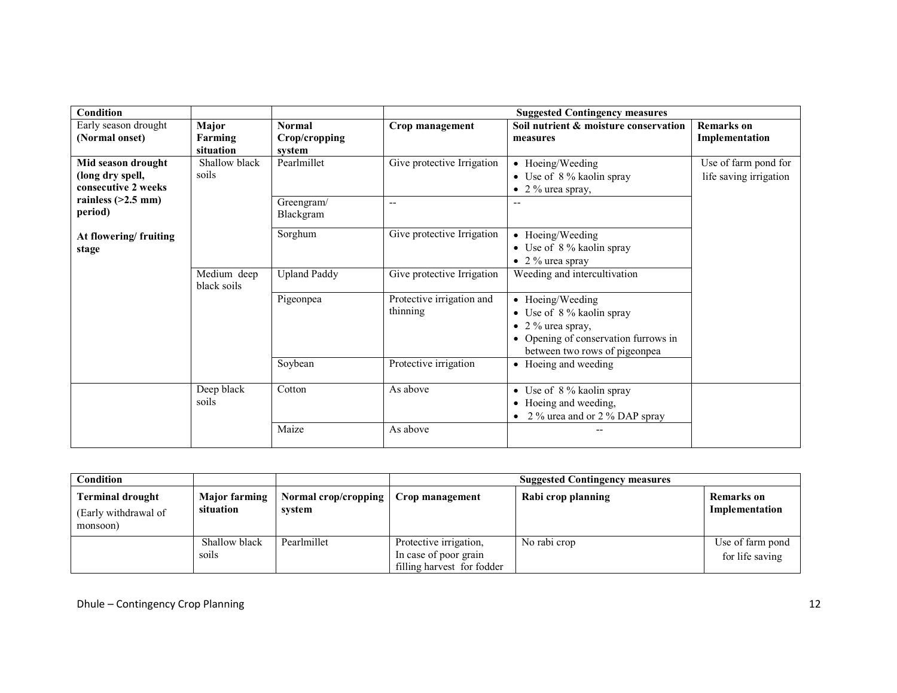| Condition                                                     |                               |                                          | <b>Suggested Contingency measures</b> |                                                                                                                                             |                                                |  |
|---------------------------------------------------------------|-------------------------------|------------------------------------------|---------------------------------------|---------------------------------------------------------------------------------------------------------------------------------------------|------------------------------------------------|--|
| Early season drought<br>(Normal onset)                        | Major<br>Farming<br>situation | <b>Normal</b><br>Crop/cropping<br>system | Crop management                       | Soil nutrient & moisture conservation<br>measures                                                                                           | <b>Remarks</b> on<br>Implementation            |  |
| Mid season drought<br>(long dry spell,<br>consecutive 2 weeks | Shallow black<br>soils        | Pearlmillet                              | Give protective Irrigation            | • Hoeing/Weeding<br>• Use of 8 % kaolin spray<br>$\bullet$ 2 % urea spray,                                                                  | Use of farm pond for<br>life saving irrigation |  |
| rainless $(>2.5$ mm)<br>period)                               |                               | Greengram/<br>Blackgram                  | $-$                                   |                                                                                                                                             |                                                |  |
| At flowering/fruiting<br>stage                                |                               | Sorghum                                  | Give protective Irrigation            | • Hoeing/Weeding<br>• Use of $8\%$ kaolin spray<br>• 2 % urea spray                                                                         |                                                |  |
|                                                               | Medium deep<br>black soils    | <b>Upland Paddy</b>                      | Give protective Irrigation            | Weeding and intercultivation                                                                                                                |                                                |  |
|                                                               |                               | Pigeonpea                                | Protective irrigation and<br>thinning | • Hoeing/Weeding<br>• Use of 8 % kaolin spray<br>• 2 % urea spray,<br>• Opening of conservation furrows in<br>between two rows of pigeonpea |                                                |  |
|                                                               |                               | Soybean                                  | Protective irrigation                 | • Hoeing and weeding                                                                                                                        |                                                |  |
|                                                               | Deep black<br>soils           | Cotton                                   | As above                              | • Use of $8\%$ kaolin spray<br>• Hoeing and weeding,<br>• 2 % urea and or 2 % DAP spray                                                     |                                                |  |
|                                                               |                               | Maize                                    | As above                              |                                                                                                                                             |                                                |  |

| Condition                                                   |                                   |                                | <b>Suggested Contingency measures</b>                                         |                    |                                     |
|-------------------------------------------------------------|-----------------------------------|--------------------------------|-------------------------------------------------------------------------------|--------------------|-------------------------------------|
| <b>Terminal drought</b><br>(Early withdrawal of<br>monsoon) | <b>Major farming</b><br>situation | Normal crop/cropping<br>svstem | Crop management                                                               | Rabi crop planning | <b>Remarks</b> on<br>Implementation |
|                                                             | Shallow black<br>soils            | Pearlmillet                    | Protective irrigation,<br>In case of poor grain<br>filling harvest for fodder | No rabi crop       | Use of farm pond<br>for life saving |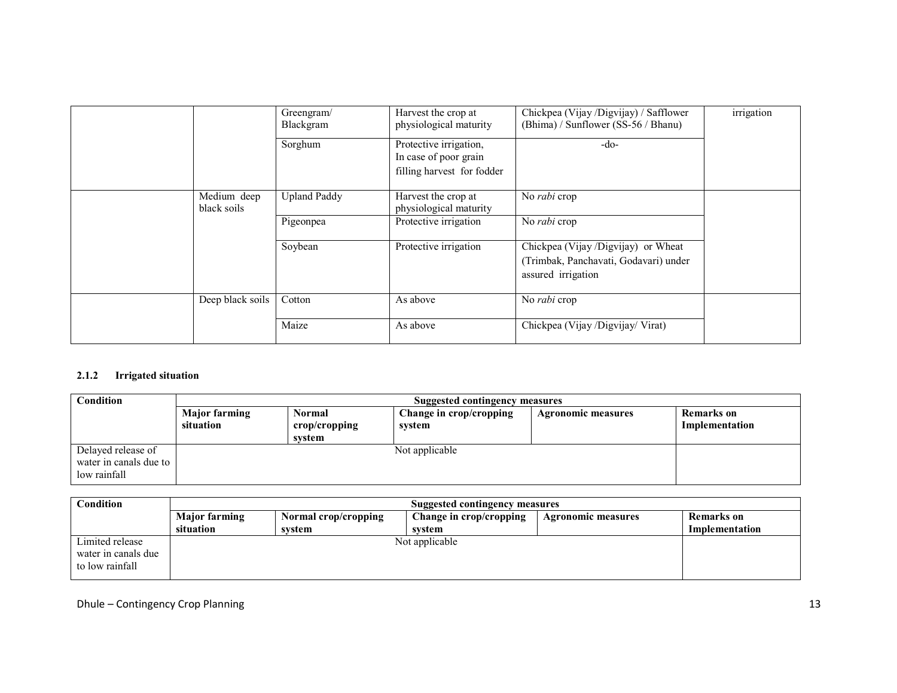|                            | Greengram/<br>Blackgram | Harvest the crop at<br>physiological maturity                                 | Chickpea (Vijay /Digvijay) / Safflower<br>(Bhima) / Sunflower (SS-56 / Bhanu)                      | irrigation |
|----------------------------|-------------------------|-------------------------------------------------------------------------------|----------------------------------------------------------------------------------------------------|------------|
|                            | Sorghum                 | Protective irrigation,<br>In case of poor grain<br>filling harvest for fodder | $-do-$                                                                                             |            |
| Medium deep<br>black soils | <b>Upland Paddy</b>     | Harvest the crop at<br>physiological maturity                                 | No rabi crop                                                                                       |            |
|                            | Pigeonpea               | Protective irrigation                                                         | No rabi crop                                                                                       |            |
|                            | Soybean                 | Protective irrigation                                                         | Chickpea (Vijay /Digvijay) or Wheat<br>(Trimbak, Panchavati, Godavari) under<br>assured irrigation |            |
| Deep black soils           | Cotton                  | As above                                                                      | No rabi crop                                                                                       |            |
|                            | Maize                   | As above                                                                      | Chickpea (Vijay /Digvijay/ Virat)                                                                  |            |

# 2.1.2 Irrigated situation

| Condition                                                    | <b>Suggested contingency measures</b> |                                   |                                   |                           |                                     |  |
|--------------------------------------------------------------|---------------------------------------|-----------------------------------|-----------------------------------|---------------------------|-------------------------------------|--|
|                                                              | <b>Major farming</b><br>situation     | Normal<br>crop/cropping<br>system | Change in crop/cropping<br>svstem | <b>Agronomic measures</b> | <b>Remarks</b> on<br>Implementation |  |
| Delayed release of<br>water in canals due to<br>low rainfall |                                       |                                   | Not applicable                    |                           |                                     |  |

| <b>Condition</b>                                          | Suggested contingency measures |                      |                         |                    |                |  |
|-----------------------------------------------------------|--------------------------------|----------------------|-------------------------|--------------------|----------------|--|
|                                                           | <b>Major farming</b>           | Normal crop/cropping | Change in crop/cropping | Agronomic measures | Remarks on     |  |
|                                                           | situation                      | svstem               | system                  |                    | Implementation |  |
| Limited release<br>water in canals due<br>to low rainfall |                                |                      | Not applicable          |                    |                |  |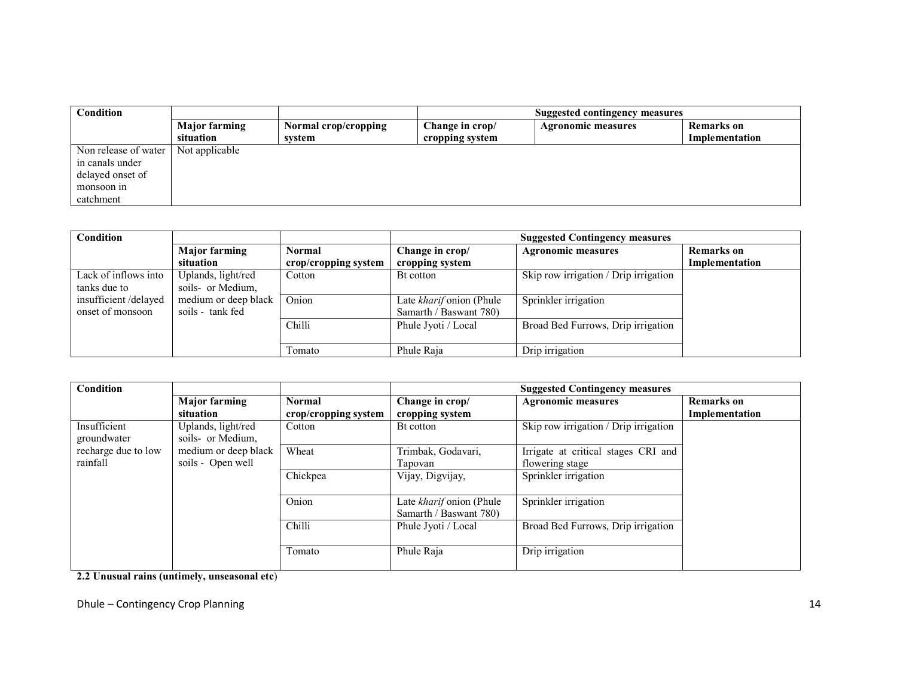| Condition            |                      |                      | <b>Suggested contingency measures</b> |                           |                   |
|----------------------|----------------------|----------------------|---------------------------------------|---------------------------|-------------------|
|                      | <b>Major farming</b> | Normal crop/cropping | Change in crop/                       | <b>Agronomic measures</b> | <b>Remarks</b> on |
|                      | situation            | system               | cropping system                       |                           | Implementation    |
| Non release of water | Not applicable       |                      |                                       |                           |                   |
| in canals under      |                      |                      |                                       |                           |                   |
| delayed onset of     |                      |                      |                                       |                           |                   |
| monsoon in           |                      |                      |                                       |                           |                   |
| catchment            |                      |                      |                                       |                           |                   |

| Condition            |                      |                      | <b>Suggested Contingency measures</b> |                                       |                   |
|----------------------|----------------------|----------------------|---------------------------------------|---------------------------------------|-------------------|
|                      | <b>Major farming</b> | Normal               | Change in crop/                       | <b>Agronomic measures</b>             | <b>Remarks</b> on |
|                      | situation            | crop/cropping system | cropping system                       |                                       | Implementation    |
| Lack of inflows into | Uplands, light/red   | Cotton               | Bt cotton                             | Skip row irrigation / Drip irrigation |                   |
| tanks due to         | soils- or Medium,    |                      |                                       |                                       |                   |
| insufficient/delayed | medium or deep black | Onion                | Late kharif onion (Phule              | Sprinkler irrigation                  |                   |
| onset of monsoon     | soils - tank fed     |                      | Samarth / Baswant 780)                |                                       |                   |
|                      |                      | <b>Chilli</b>        | Phule Jyoti / Local                   | Broad Bed Furrows, Drip irrigation    |                   |
|                      |                      |                      |                                       |                                       |                   |
|                      |                      | Tomato               | Phule Raja                            | Drip irrigation                       |                   |

| Condition                       |                                           |                                       | <b>Suggested Contingency measures</b>              |                                                        |                                     |  |
|---------------------------------|-------------------------------------------|---------------------------------------|----------------------------------------------------|--------------------------------------------------------|-------------------------------------|--|
|                                 | <b>Major farming</b><br>situation         | <b>Normal</b><br>crop/cropping system | Change in crop/<br>cropping system                 | <b>Agronomic measures</b>                              | <b>Remarks</b> on<br>Implementation |  |
| Insufficient<br>groundwater     | Uplands, light/red<br>soils- or Medium,   | Cotton                                | Bt cotton                                          | Skip row irrigation / Drip irrigation                  |                                     |  |
| recharge due to low<br>rainfall | medium or deep black<br>soils - Open well | Wheat                                 | Trimbak, Godavari,<br>Tapovan                      | Irrigate at critical stages CRI and<br>flowering stage |                                     |  |
|                                 |                                           | Chickpea                              | Vijay, Digvijay,                                   | Sprinkler irrigation                                   |                                     |  |
|                                 |                                           | Onion                                 | Late kharif onion (Phule<br>Samarth / Baswant 780) | Sprinkler irrigation                                   |                                     |  |
|                                 |                                           | Chilli                                | Phule Jyoti / Local                                | Broad Bed Furrows, Drip irrigation                     |                                     |  |
|                                 |                                           | Tomato                                | Phule Raja                                         | Drip irrigation                                        |                                     |  |

2.2 Unusual rains (untimely, unseasonal etc)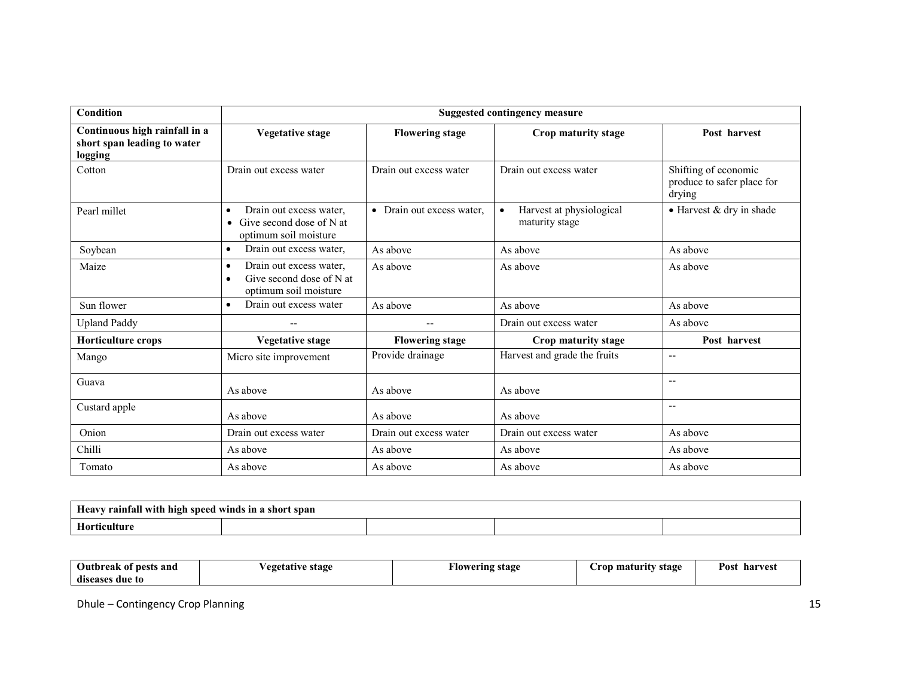| Condition                                                               | <b>Suggested contingency measure</b>                                                                   |                                      |                                                         |                                                              |  |  |
|-------------------------------------------------------------------------|--------------------------------------------------------------------------------------------------------|--------------------------------------|---------------------------------------------------------|--------------------------------------------------------------|--|--|
| Continuous high rainfall in a<br>short span leading to water<br>logging | <b>Vegetative stage</b>                                                                                | <b>Flowering stage</b>               | Crop maturity stage                                     | Post harvest                                                 |  |  |
| Cotton                                                                  | Drain out excess water                                                                                 | Drain out excess water               | Drain out excess water                                  | Shifting of economic<br>produce to safer place for<br>drying |  |  |
| Pearl millet                                                            | Drain out excess water.<br>$\bullet$<br>Give second dose of N at<br>$\bullet$<br>optimum soil moisture | Drain out excess water,<br>$\bullet$ | Harvest at physiological<br>$\bullet$<br>maturity stage | • Harvest & dry in shade                                     |  |  |
| Soybean                                                                 | Drain out excess water,<br>$\bullet$                                                                   | As above                             | As above                                                | As above                                                     |  |  |
| Maize                                                                   | Drain out excess water,<br>$\bullet$<br>Give second dose of N at<br>$\bullet$<br>optimum soil moisture | As above                             | As above                                                | As above                                                     |  |  |
| Sun flower                                                              | Drain out excess water<br>$\bullet$                                                                    | As above                             | As above                                                | As above                                                     |  |  |
| <b>Upland Paddy</b>                                                     | $\overline{\phantom{a}}$                                                                               | $-$                                  | Drain out excess water                                  | As above                                                     |  |  |
| Horticulture crops                                                      | <b>Vegetative stage</b>                                                                                | <b>Flowering stage</b>               | Crop maturity stage                                     | Post harvest                                                 |  |  |
| Mango                                                                   | Micro site improvement                                                                                 | Provide drainage                     | Harvest and grade the fruits                            | $\overline{a}$                                               |  |  |
| Guava                                                                   | As above                                                                                               | As above                             | As above                                                | $-$                                                          |  |  |
| Custard apple                                                           | As above                                                                                               | As above                             | As above                                                | $\overline{a}$                                               |  |  |
| Onion                                                                   | Drain out excess water                                                                                 | Drain out excess water               | Drain out excess water                                  | As above                                                     |  |  |
| Chilli                                                                  | As above                                                                                               | As above                             | As above                                                | As above                                                     |  |  |
| Tomato                                                                  | As above                                                                                               | As above                             | As above                                                | As above                                                     |  |  |

| / rainfall with<br><b>Heavy</b><br>hıgh<br>speed winds | IN a<br>short span |  |  |
|--------------------------------------------------------|--------------------|--|--|
| --                                                     |                    |  |  |

| $\sim$<br>Outbreak of pests and | ∕egetative stage | Flowering stage | maturity<br>stage<br>rop | Post<br>harvest |
|---------------------------------|------------------|-----------------|--------------------------|-----------------|
| diseases due to                 |                  |                 |                          |                 |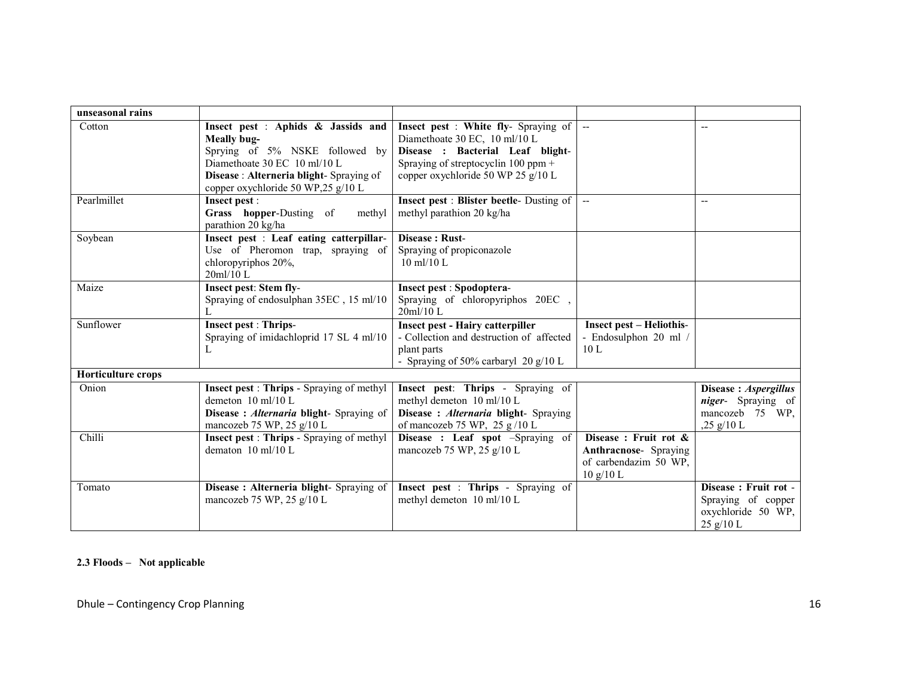| unseasonal rains          |                                                                                                                                                                                                     |                                                                                                                                                                                          |                                                                                            |                                                                                              |
|---------------------------|-----------------------------------------------------------------------------------------------------------------------------------------------------------------------------------------------------|------------------------------------------------------------------------------------------------------------------------------------------------------------------------------------------|--------------------------------------------------------------------------------------------|----------------------------------------------------------------------------------------------|
| Cotton                    | Insect pest : Aphids & Jassids and<br>Meally bug-<br>Sprying of 5% NSKE followed by<br>Diamethoate 30 EC 10 ml/10 L<br>Disease: Alterneria blight-Spraying of<br>copper oxychloride 50 WP,25 g/10 L | Insect pest : White fly- Spraying of<br>Diamethoate 30 EC, 10 ml/10 L<br>Disease : Bacterial Leaf blight-<br>Spraying of streptocyclin $100$ ppm +<br>copper oxychloride 50 WP 25 g/10 L |                                                                                            |                                                                                              |
| Pearlmillet               | Insect pest :<br>Grass hopper-Dusting of<br>methyl<br>parathion 20 kg/ha                                                                                                                            | <b>Insect pest : Blister beetle-</b> Dusting of<br>methyl parathion 20 kg/ha                                                                                                             | $\sim$ $\sim$                                                                              | $\overline{\phantom{a}}$                                                                     |
| Soybean                   | Insect pest : Leaf eating catterpillar-<br>Use of Pheromon trap, spraying of<br>chloropyriphos 20%,<br>20ml/10 L                                                                                    | Disease: Rust-<br>Spraying of propiconazole<br>10 ml/10 L                                                                                                                                |                                                                                            |                                                                                              |
| Maize                     | Insect pest: Stem fly-<br>Spraying of endosulphan 35EC, 15 ml/10                                                                                                                                    | <b>Insect pest : Spodoptera-</b><br>Spraying of chloropyriphos 20EC,<br>20m1/10 L                                                                                                        |                                                                                            |                                                                                              |
| Sunflower                 | <b>Insect pest: Thrips-</b><br>Spraying of imidachloprid 17 SL 4 ml/10<br>L                                                                                                                         | <b>Insect pest - Hairy catterpiller</b><br>- Collection and destruction of affected<br>plant parts<br>- Spraying of 50% carbaryl 20 $g/10$ L                                             | <b>Insect pest - Heliothis-</b><br>- Endosulphon 20 ml /<br>10L                            |                                                                                              |
| <b>Horticulture crops</b> |                                                                                                                                                                                                     |                                                                                                                                                                                          |                                                                                            |                                                                                              |
| Onion                     | <b>Insect pest: Thrips - Spraying of methyl</b><br>demeton 10 ml/10 L<br>Disease: Alternaria blight- Spraying of<br>mancozeb 75 WP, 25 g/10 L                                                       | Insect pest: Thrips - Spraying of<br>methyl demeton 10 ml/10 L<br>Disease: Alternaria blight- Spraying<br>of mancozeb 75 WP, 25 $g/10$ L                                                 |                                                                                            | Disease: Aspergillus<br>niger- Spraying of<br>mancozeb 75 WP,<br>$,25 \frac{\text{g}}{10}$ L |
| Chilli                    | <b>Insect pest: Thrips - Spraying of methyl</b><br>dematon $10 \text{ ml}/10 \text{ L}$                                                                                                             | Disease: Leaf spot -Spraying of<br>mancozeb 75 WP, 25 g/10 L                                                                                                                             | Disease: Fruit rot &<br><b>Anthracnose-</b> Spraying<br>of carbendazim 50 WP,<br>10 g/10 L |                                                                                              |
| Tomato                    | Disease: Alterneria blight- Spraying of<br>mancozeb 75 WP, 25 g/10 L                                                                                                                                | Insect pest : Thrips - Spraying of<br>methyl demeton 10 ml/10 L                                                                                                                          |                                                                                            | Disease: Fruit rot -<br>Spraying of copper<br>oxychloride 50 WP,<br>25 g/10 L                |

# 2.3 Floods – Not applicable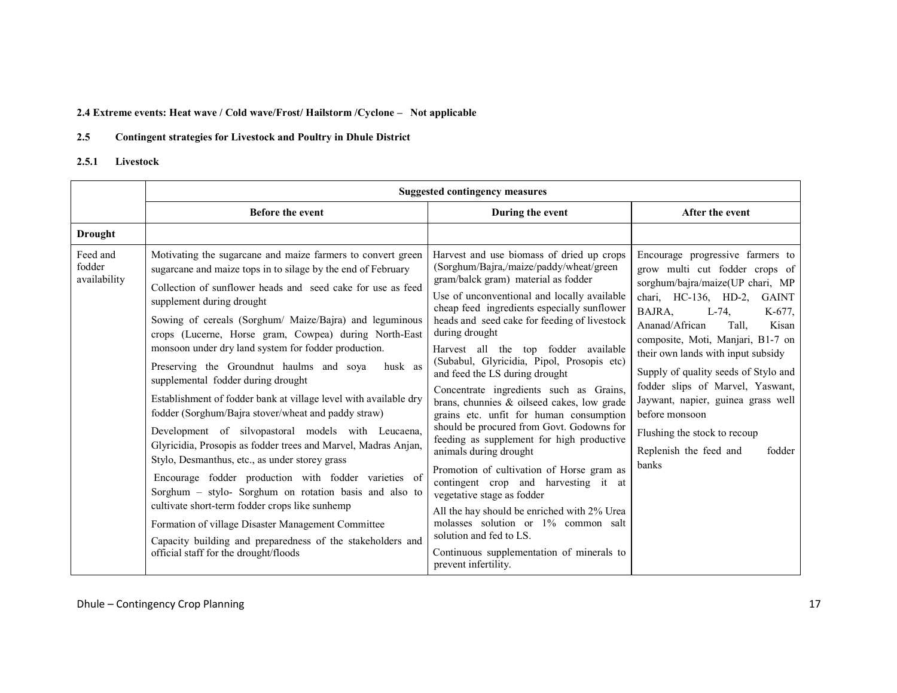### 2.4 Extreme events: Heat wave / Cold wave/Frost/ Hailstorm /Cyclone – Not applicable

#### 2.5Contingent strategies for Livestock and Poultry in Dhule District

#### 2.5.1Livestock

|                                    |                                                                                                                                                                                                                                                                                                                                                                                                                                                                                                                                                                                                                                                                                                                                                                                                                                                                                                                                                                                                                                                                                                                                        | <b>Suggested contingency measures</b>                                                                                                                                                                                                                                                                                                                                                                                                                                                                                                                                                                                                                                                                                                                                                                                                                                                                                                                                                |                                                                                                                                                                                                                                                                                                                                                                                                                                                                                                      |
|------------------------------------|----------------------------------------------------------------------------------------------------------------------------------------------------------------------------------------------------------------------------------------------------------------------------------------------------------------------------------------------------------------------------------------------------------------------------------------------------------------------------------------------------------------------------------------------------------------------------------------------------------------------------------------------------------------------------------------------------------------------------------------------------------------------------------------------------------------------------------------------------------------------------------------------------------------------------------------------------------------------------------------------------------------------------------------------------------------------------------------------------------------------------------------|--------------------------------------------------------------------------------------------------------------------------------------------------------------------------------------------------------------------------------------------------------------------------------------------------------------------------------------------------------------------------------------------------------------------------------------------------------------------------------------------------------------------------------------------------------------------------------------------------------------------------------------------------------------------------------------------------------------------------------------------------------------------------------------------------------------------------------------------------------------------------------------------------------------------------------------------------------------------------------------|------------------------------------------------------------------------------------------------------------------------------------------------------------------------------------------------------------------------------------------------------------------------------------------------------------------------------------------------------------------------------------------------------------------------------------------------------------------------------------------------------|
|                                    | <b>Before the event</b>                                                                                                                                                                                                                                                                                                                                                                                                                                                                                                                                                                                                                                                                                                                                                                                                                                                                                                                                                                                                                                                                                                                | During the event                                                                                                                                                                                                                                                                                                                                                                                                                                                                                                                                                                                                                                                                                                                                                                                                                                                                                                                                                                     | After the event                                                                                                                                                                                                                                                                                                                                                                                                                                                                                      |
| <b>Drought</b>                     |                                                                                                                                                                                                                                                                                                                                                                                                                                                                                                                                                                                                                                                                                                                                                                                                                                                                                                                                                                                                                                                                                                                                        |                                                                                                                                                                                                                                                                                                                                                                                                                                                                                                                                                                                                                                                                                                                                                                                                                                                                                                                                                                                      |                                                                                                                                                                                                                                                                                                                                                                                                                                                                                                      |
| Feed and<br>fodder<br>availability | Motivating the sugarcane and maize farmers to convert green<br>sugarcane and maize tops in to silage by the end of February<br>Collection of sunflower heads and seed cake for use as feed<br>supplement during drought<br>Sowing of cereals (Sorghum/ Maize/Bajra) and leguminous<br>crops (Lucerne, Horse gram, Cowpea) during North-East<br>monsoon under dry land system for fodder production.<br>Preserving the Groundnut haulms and soya<br>husk as<br>supplemental fodder during drought<br>Establishment of fodder bank at village level with available dry<br>fodder (Sorghum/Bajra stover/wheat and paddy straw)<br>Development of silvopastoral models with Leucaena,<br>Glyricidia, Prosopis as fodder trees and Marvel, Madras Anjan,<br>Stylo, Desmanthus, etc., as under storey grass<br>Encourage fodder production with fodder varieties of<br>Sorghum - stylo- Sorghum on rotation basis and also to<br>cultivate short-term fodder crops like sunhemp<br>Formation of village Disaster Management Committee<br>Capacity building and preparedness of the stakeholders and<br>official staff for the drought/floods | Harvest and use biomass of dried up crops<br>(Sorghum/Bajra,/maize/paddy/wheat/green<br>gram/balck gram) material as fodder<br>Use of unconventional and locally available<br>cheap feed ingredients especially sunflower<br>heads and seed cake for feeding of livestock<br>during drought<br>Harvest all the top fodder available<br>(Subabul, Glyricidia, Pipol, Prosopis etc)<br>and feed the LS during drought<br>Concentrate ingredients such as Grains,<br>brans, chunnies & oilseed cakes, low grade<br>grains etc. unfit for human consumption<br>should be procured from Govt. Godowns for<br>feeding as supplement for high productive<br>animals during drought<br>Promotion of cultivation of Horse gram as<br>contingent crop and harvesting it at<br>vegetative stage as fodder<br>All the hay should be enriched with 2% Urea<br>molasses solution or 1% common salt<br>solution and fed to LS.<br>Continuous supplementation of minerals to<br>prevent infertility. | Encourage progressive farmers to<br>grow multi cut fodder crops of<br>sorghum/bajra/maize(UP chari, MP<br>chari, HC-136, HD-2, GAINT<br>$L-74$ ,<br>BAJRA,<br>K-677,<br>Ananad/African<br>Tall,<br>Kisan<br>composite, Moti, Manjari, B1-7 on<br>their own lands with input subsidy<br>Supply of quality seeds of Stylo and<br>fodder slips of Marvel, Yaswant,<br>Jaywant, napier, guinea grass well<br>before monsoon<br>Flushing the stock to recoup<br>Replenish the feed and<br>fodder<br>banks |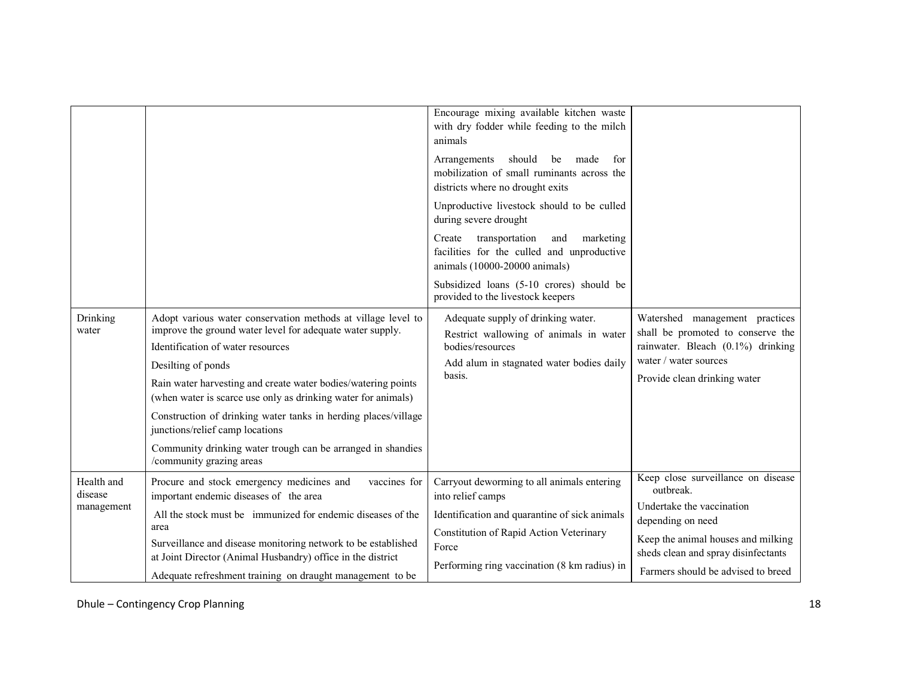|                       |                                                                                                                                | Encourage mixing available kitchen waste<br>with dry fodder while feeding to the milch<br>animals<br>Arrangements<br>should<br>be<br>made<br>for |                                                                           |
|-----------------------|--------------------------------------------------------------------------------------------------------------------------------|--------------------------------------------------------------------------------------------------------------------------------------------------|---------------------------------------------------------------------------|
|                       |                                                                                                                                | mobilization of small ruminants across the<br>districts where no drought exits                                                                   |                                                                           |
|                       |                                                                                                                                | Unproductive livestock should to be culled<br>during severe drought                                                                              |                                                                           |
|                       |                                                                                                                                | Create<br>transportation<br>marketing<br>and<br>facilities for the culled and unproductive<br>animals (10000-20000 animals)                      |                                                                           |
|                       |                                                                                                                                | Subsidized loans (5-10 crores) should be<br>provided to the livestock keepers                                                                    |                                                                           |
| Drinking<br>water     | Adopt various water conservation methods at village level to<br>improve the ground water level for adequate water supply.      | Adequate supply of drinking water.<br>Restrict wallowing of animals in water                                                                     | Watershed management practices<br>shall be promoted to conserve the       |
|                       | Identification of water resources                                                                                              | bodies/resources                                                                                                                                 | rainwater. Bleach (0.1%) drinking                                         |
|                       | Desilting of ponds                                                                                                             | Add alum in stagnated water bodies daily<br>basis.                                                                                               | water / water sources                                                     |
|                       | Rain water harvesting and create water bodies/watering points<br>(when water is scarce use only as drinking water for animals) |                                                                                                                                                  | Provide clean drinking water                                              |
|                       | Construction of drinking water tanks in herding places/village<br>junctions/relief camp locations                              |                                                                                                                                                  |                                                                           |
|                       | Community drinking water trough can be arranged in shandies<br>/community grazing areas                                        |                                                                                                                                                  |                                                                           |
| Health and<br>disease | Procure and stock emergency medicines and<br>vaccines for<br>important endemic diseases of the area                            | Carryout deworming to all animals entering<br>into relief camps                                                                                  | Keep close surveillance on disease<br>outbreak.                           |
| management            | All the stock must be immunized for endemic diseases of the<br>area                                                            | Identification and quarantine of sick animals                                                                                                    | Undertake the vaccination<br>depending on need                            |
|                       | Surveillance and disease monitoring network to be established                                                                  | Constitution of Rapid Action Veterinary<br>Force                                                                                                 | Keep the animal houses and milking<br>sheds clean and spray disinfectants |
|                       | at Joint Director (Animal Husbandry) office in the district<br>Adequate refreshment training on draught management to be       | Performing ring vaccination (8 km radius) in                                                                                                     | Farmers should be advised to breed                                        |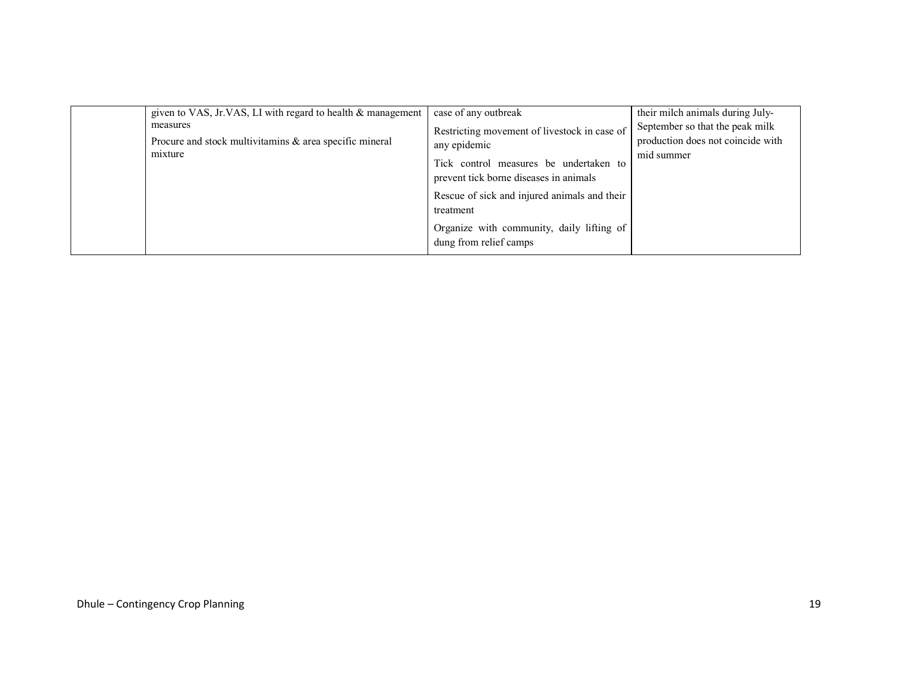| given to VAS, Jr.VAS, LI with regard to health & management<br>measures<br>Procure and stock multivitaming $\&$ area specific mineral | case of any outbreak<br>Restricting movement of livestock in case of<br>any epidemic | their milch animals during July-<br>September so that the peak milk<br>production does not coincide with |
|---------------------------------------------------------------------------------------------------------------------------------------|--------------------------------------------------------------------------------------|----------------------------------------------------------------------------------------------------------|
| mixture                                                                                                                               | Tick control measures be undertaken to<br>prevent tick borne diseases in animals     | mid summer                                                                                               |
|                                                                                                                                       | Rescue of sick and injured animals and their<br>treatment                            |                                                                                                          |
|                                                                                                                                       | Organize with community, daily lifting of<br>dung from relief camps                  |                                                                                                          |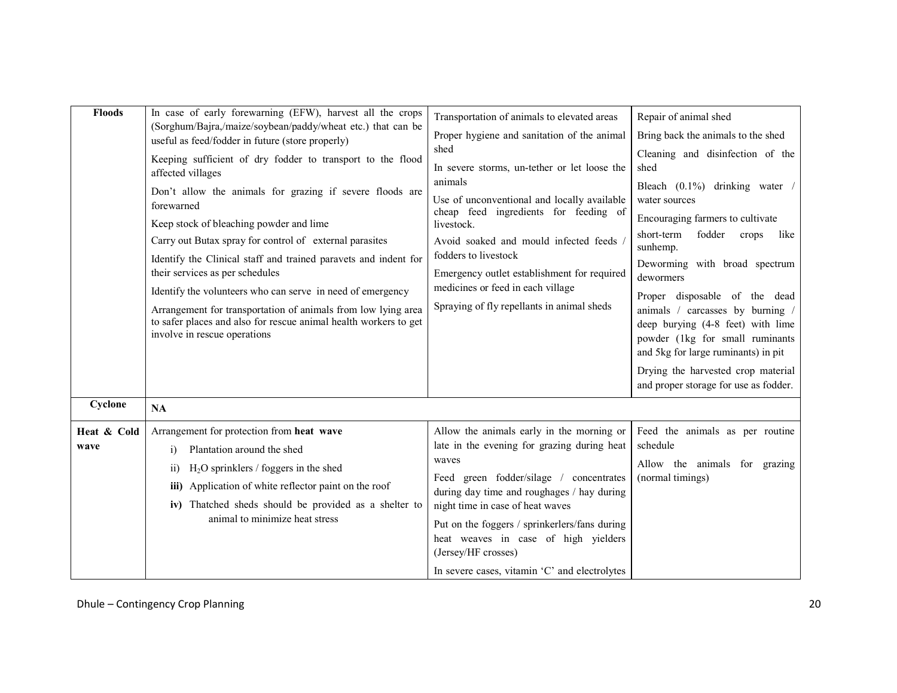| <b>Floods</b>       | In case of early forewarning (EFW), harvest all the crops<br>(Sorghum/Bajra,/maize/soybean/paddy/wheat etc.) that can be<br>useful as feed/fodder in future (store properly)<br>Keeping sufficient of dry fodder to transport to the flood<br>affected villages<br>Don't allow the animals for grazing if severe floods are<br>forewarned<br>Keep stock of bleaching powder and lime<br>Carry out Butax spray for control of external parasites<br>Identify the Clinical staff and trained paravets and indent for<br>their services as per schedules | Transportation of animals to elevated areas<br>Proper hygiene and sanitation of the animal<br>shed<br>In severe storms, un-tether or let loose the<br>animals<br>Use of unconventional and locally available<br>cheap feed ingredients for feeding of<br>livestock.<br>Avoid soaked and mould infected feeds<br>fodders to livestock<br>Emergency outlet establishment for required             | Repair of animal shed<br>Bring back the animals to the shed<br>Cleaning and disinfection of the<br>shed<br>Bleach (0.1%) drinking water<br>water sources<br>Encouraging farmers to cultivate<br>fodder<br>short-term<br>crops<br>like<br>sunhemp.<br>Deworming with broad spectrum<br>dewormers |
|---------------------|-------------------------------------------------------------------------------------------------------------------------------------------------------------------------------------------------------------------------------------------------------------------------------------------------------------------------------------------------------------------------------------------------------------------------------------------------------------------------------------------------------------------------------------------------------|-------------------------------------------------------------------------------------------------------------------------------------------------------------------------------------------------------------------------------------------------------------------------------------------------------------------------------------------------------------------------------------------------|-------------------------------------------------------------------------------------------------------------------------------------------------------------------------------------------------------------------------------------------------------------------------------------------------|
| Cyclone             | Identify the volunteers who can serve in need of emergency<br>Arrangement for transportation of animals from low lying area<br>to safer places and also for rescue animal health workers to get<br>involve in rescue operations<br><b>NA</b>                                                                                                                                                                                                                                                                                                          | medicines or feed in each village<br>Spraying of fly repellants in animal sheds                                                                                                                                                                                                                                                                                                                 | Proper disposable of the dead<br>animals / carcasses by burning /<br>deep burying (4-8 feet) with lime<br>powder (1kg for small ruminants<br>and 5kg for large ruminants) in pit<br>Drying the harvested crop material<br>and proper storage for use as fodder.                                 |
| Heat & Cold<br>wave | Arrangement for protection from heat wave<br>Plantation around the shed<br>$\overline{1}$<br>$H2O$ sprinklers / foggers in the shed<br>$\overline{11}$<br>iii) Application of white reflector paint on the roof<br>iv) Thatched sheds should be provided as a shelter to<br>animal to minimize heat stress                                                                                                                                                                                                                                            | Allow the animals early in the morning or<br>late in the evening for grazing during heat<br>waves<br>Feed green fodder/silage / concentrates<br>during day time and roughages / hay during<br>night time in case of heat waves<br>Put on the foggers / sprinkerlers/fans during<br>heat weaves in case of high yielders<br>(Jersey/HF crosses)<br>In severe cases, vitamin 'C' and electrolytes | Feed the animals as per routine<br>schedule<br>Allow the animals for grazing<br>(normal timings)                                                                                                                                                                                                |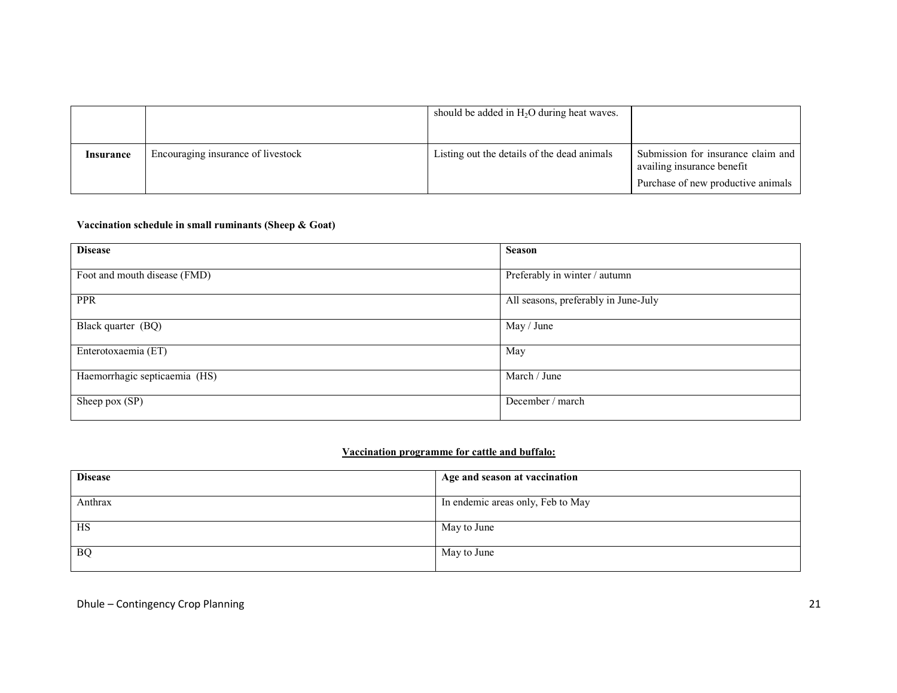|           |                                    | should be added in $H_2O$ during heat waves. |                                                                                                        |
|-----------|------------------------------------|----------------------------------------------|--------------------------------------------------------------------------------------------------------|
| Insurance | Encouraging insurance of livestock | Listing out the details of the dead animals  | Submission for insurance claim and<br>availing insurance benefit<br>Purchase of new productive animals |

### Vaccination schedule in small ruminants (Sheep & Goat)

| <b>Disease</b>                | <b>Season</b>                        |
|-------------------------------|--------------------------------------|
| Foot and mouth disease (FMD)  | Preferably in winter / autumn        |
| <b>PPR</b>                    | All seasons, preferably in June-July |
| Black quarter (BQ)            | May / June                           |
| Enterotoxaemia (ET)           | May                                  |
| Haemorrhagic septicaemia (HS) | March / June                         |
| Sheep pox (SP)                | December / march                     |

# Vaccination programme for cattle and buffalo:

| <b>Disease</b> | Age and season at vaccination     |
|----------------|-----------------------------------|
| Anthrax        | In endemic areas only, Feb to May |
| HS             | May to June                       |
| <b>BQ</b>      | May to June                       |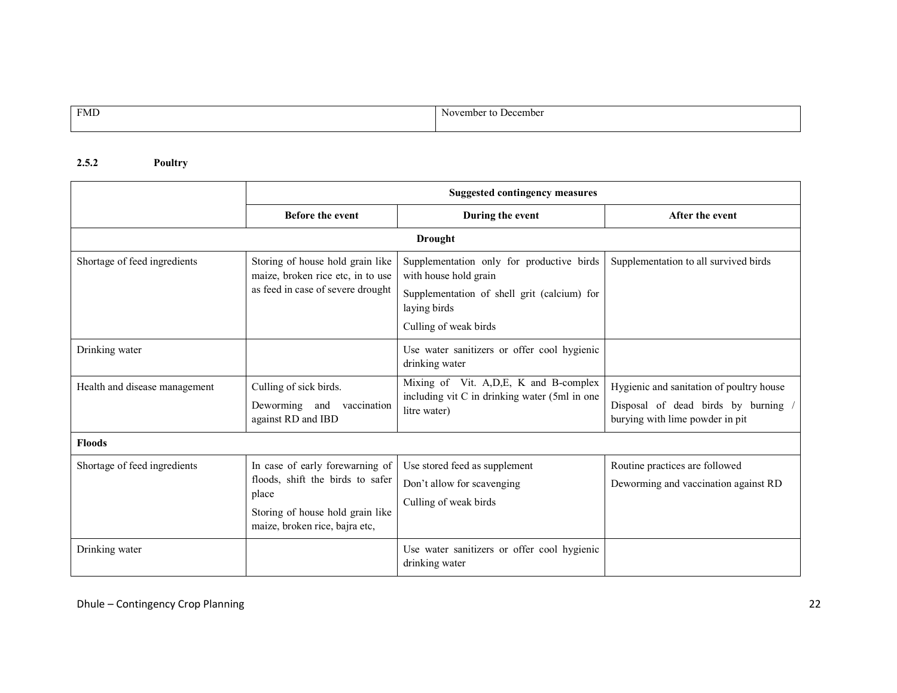| <b>FMD</b> | ∶ to December<br>November |
|------------|---------------------------|
|            |                           |

# 2.5.2 Poultry

|                               | <b>Suggested contingency measures</b>                                                                                                              |                                                                                                                                                            |                                                                                                                    |
|-------------------------------|----------------------------------------------------------------------------------------------------------------------------------------------------|------------------------------------------------------------------------------------------------------------------------------------------------------------|--------------------------------------------------------------------------------------------------------------------|
|                               | <b>Before the event</b>                                                                                                                            | During the event                                                                                                                                           | After the event                                                                                                    |
|                               |                                                                                                                                                    | <b>Drought</b>                                                                                                                                             |                                                                                                                    |
| Shortage of feed ingredients  | Storing of house hold grain like<br>maize, broken rice etc, in to use<br>as feed in case of severe drought                                         | Supplementation only for productive birds<br>with house hold grain<br>Supplementation of shell grit (calcium) for<br>laying birds<br>Culling of weak birds | Supplementation to all survived birds                                                                              |
| Drinking water                |                                                                                                                                                    | Use water sanitizers or offer cool hygienic<br>drinking water                                                                                              |                                                                                                                    |
| Health and disease management | Culling of sick birds.<br>Deworming and<br>vaccination<br>against RD and IBD                                                                       | Mixing of Vit. A, D, E, K and B-complex<br>including vit C in drinking water (5ml in one<br>litre water)                                                   | Hygienic and sanitation of poultry house<br>Disposal of dead birds by burning /<br>burying with lime powder in pit |
| <b>Floods</b>                 |                                                                                                                                                    |                                                                                                                                                            |                                                                                                                    |
| Shortage of feed ingredients  | In case of early forewarning of<br>floods, shift the birds to safer<br>place<br>Storing of house hold grain like<br>maize, broken rice, bajra etc, | Use stored feed as supplement<br>Don't allow for scavenging<br>Culling of weak birds                                                                       | Routine practices are followed<br>Deworming and vaccination against RD                                             |
| Drinking water                |                                                                                                                                                    | Use water sanitizers or offer cool hygienic<br>drinking water                                                                                              |                                                                                                                    |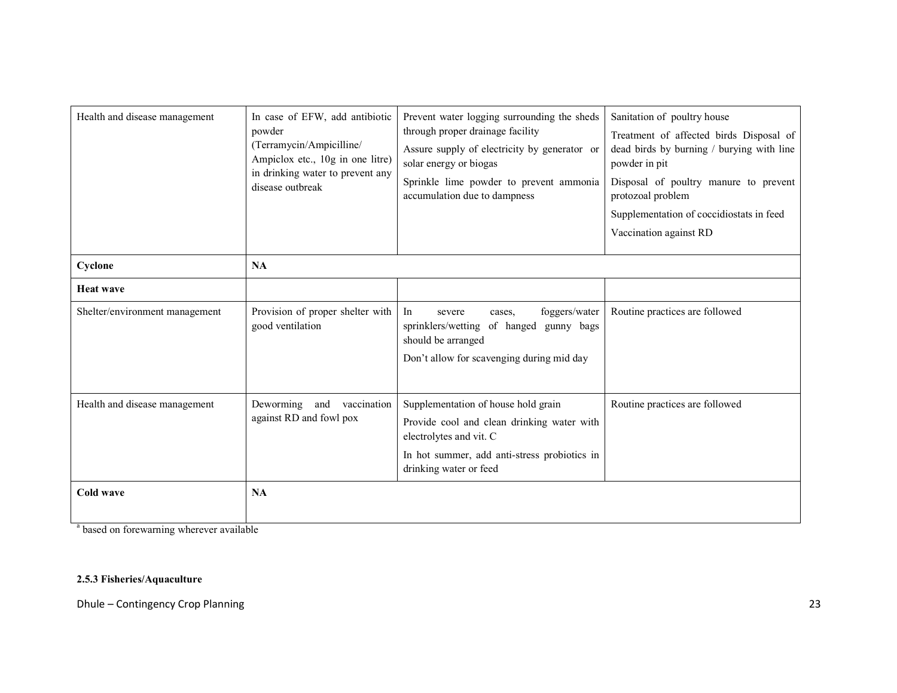| Health and disease management  | In case of EFW, add antibiotic<br>powder<br>(Terramycin/Ampicilline/<br>Ampiclox etc., 10g in one litre)<br>in drinking water to prevent any<br>disease outbreak | Prevent water logging surrounding the sheds<br>through proper drainage facility<br>Assure supply of electricity by generator or<br>solar energy or biogas<br>Sprinkle lime powder to prevent ammonia<br>accumulation due to dampness | Sanitation of poultry house<br>Treatment of affected birds Disposal of<br>dead birds by burning / burying with line<br>powder in pit<br>Disposal of poultry manure to prevent<br>protozoal problem<br>Supplementation of coccidiostats in feed<br>Vaccination against RD |
|--------------------------------|------------------------------------------------------------------------------------------------------------------------------------------------------------------|--------------------------------------------------------------------------------------------------------------------------------------------------------------------------------------------------------------------------------------|--------------------------------------------------------------------------------------------------------------------------------------------------------------------------------------------------------------------------------------------------------------------------|
| Cyclone                        | NA                                                                                                                                                               |                                                                                                                                                                                                                                      |                                                                                                                                                                                                                                                                          |
| <b>Heat wave</b>               |                                                                                                                                                                  |                                                                                                                                                                                                                                      |                                                                                                                                                                                                                                                                          |
| Shelter/environment management | Provision of proper shelter with<br>good ventilation                                                                                                             | foggers/water<br>In<br>severe<br>cases.<br>sprinklers/wetting of hanged gunny bags<br>should be arranged<br>Don't allow for scavenging during mid day                                                                                | Routine practices are followed                                                                                                                                                                                                                                           |
| Health and disease management  | Deworming and vaccination<br>against RD and fowl pox                                                                                                             | Supplementation of house hold grain<br>Provide cool and clean drinking water with<br>electrolytes and vit. C<br>In hot summer, add anti-stress probiotics in<br>drinking water or feed                                               | Routine practices are followed                                                                                                                                                                                                                                           |
| Cold wave                      | <b>NA</b>                                                                                                                                                        |                                                                                                                                                                                                                                      |                                                                                                                                                                                                                                                                          |

<sup>a</sup> based on forewarning wherever available

# 2.5.3 Fisheries/Aquaculture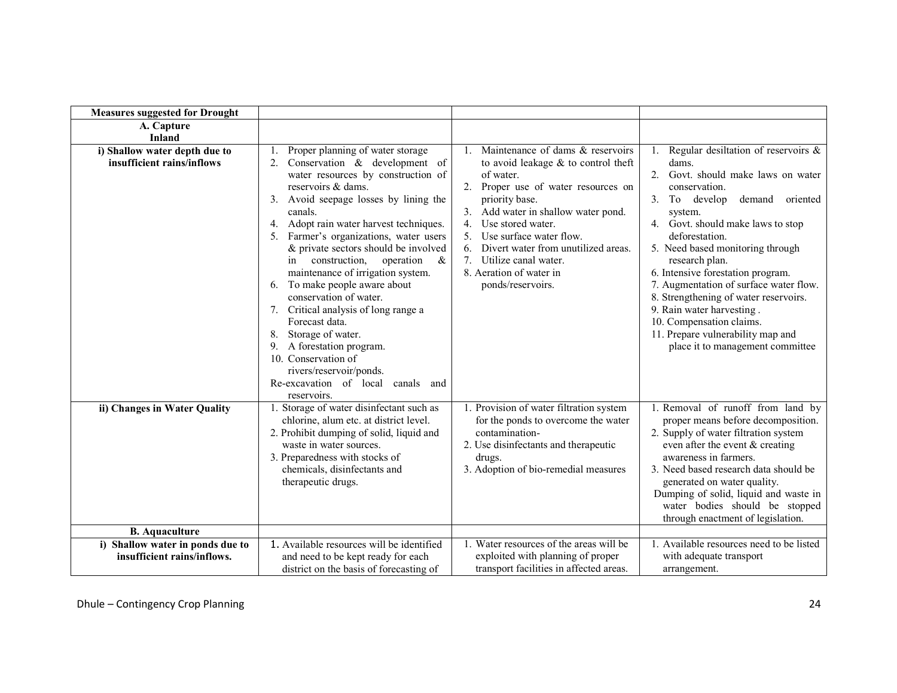| <b>Measures suggested for Drought</b>                       |                                                                                                                                                                                                                                                                                                                                                                                                                                                                                                                                                                                                                                                                                                                           |                                                                                                                                                                                                                                                                                                                                                                                        |                                                                                                                                                                                                                                                                                                                                                                                                                                                                                                                                                |
|-------------------------------------------------------------|---------------------------------------------------------------------------------------------------------------------------------------------------------------------------------------------------------------------------------------------------------------------------------------------------------------------------------------------------------------------------------------------------------------------------------------------------------------------------------------------------------------------------------------------------------------------------------------------------------------------------------------------------------------------------------------------------------------------------|----------------------------------------------------------------------------------------------------------------------------------------------------------------------------------------------------------------------------------------------------------------------------------------------------------------------------------------------------------------------------------------|------------------------------------------------------------------------------------------------------------------------------------------------------------------------------------------------------------------------------------------------------------------------------------------------------------------------------------------------------------------------------------------------------------------------------------------------------------------------------------------------------------------------------------------------|
| A. Capture                                                  |                                                                                                                                                                                                                                                                                                                                                                                                                                                                                                                                                                                                                                                                                                                           |                                                                                                                                                                                                                                                                                                                                                                                        |                                                                                                                                                                                                                                                                                                                                                                                                                                                                                                                                                |
| <b>Inland</b>                                               |                                                                                                                                                                                                                                                                                                                                                                                                                                                                                                                                                                                                                                                                                                                           |                                                                                                                                                                                                                                                                                                                                                                                        |                                                                                                                                                                                                                                                                                                                                                                                                                                                                                                                                                |
| i) Shallow water depth due to<br>insufficient rains/inflows | Proper planning of water storage<br>1.<br>Conservation & development of<br>2 <sub>1</sub><br>water resources by construction of<br>reservoirs & dams.<br>Avoid seepage losses by lining the<br>3 <sub>1</sub><br>canals.<br>4. Adopt rain water harvest techniques.<br>5. Farmer's organizations, water users<br>& private sectors should be involved<br>construction, operation<br>$\&$<br>in<br>maintenance of irrigation system.<br>6. To make people aware about<br>conservation of water.<br>7. Critical analysis of long range a<br>Forecast data.<br>8. Storage of water.<br>A forestation program.<br>9.<br>10. Conservation of<br>rivers/reservoir/ponds.<br>Re-excavation of local<br>canals and<br>reservoirs. | Maintenance of dams & reservoirs<br>$\mathbf{1}$ .<br>to avoid leakage $&$ to control theft<br>of water.<br>2. Proper use of water resources on<br>priority base.<br>Add water in shallow water pond.<br>4 <sub>1</sub><br>Use stored water.<br>Use surface water flow.<br>Divert water from unutilized areas.<br>Utilize canal water.<br>8. Aeration of water in<br>ponds/reservoirs. | 1. Regular desiltation of reservoirs $\&$<br>dams.<br>$\mathfrak{D}$<br>Govt. should make laws on water<br>conservation.<br>3. To develop<br>demand oriented<br>system.<br>4. Govt. should make laws to stop<br>deforestation.<br>5. Need based monitoring through<br>research plan.<br>6. Intensive forestation program.<br>7. Augmentation of surface water flow.<br>8. Strengthening of water reservoirs.<br>9. Rain water harvesting.<br>10. Compensation claims.<br>11. Prepare vulnerability map and<br>place it to management committee |
| ii) Changes in Water Quality                                | 1. Storage of water disinfectant such as<br>chlorine, alum etc. at district level.<br>2. Prohibit dumping of solid, liquid and<br>waste in water sources.<br>3. Preparedness with stocks of<br>chemicals, disinfectants and<br>therapeutic drugs.                                                                                                                                                                                                                                                                                                                                                                                                                                                                         | 1. Provision of water filtration system<br>for the ponds to overcome the water<br>contamination-<br>2. Use disinfectants and therapeutic<br>drugs.<br>3. Adoption of bio-remedial measures                                                                                                                                                                                             | 1. Removal of runoff from land by<br>proper means before decomposition.<br>2. Supply of water filtration system<br>even after the event $&$ creating<br>awareness in farmers.<br>3. Need based research data should be<br>generated on water quality.<br>Dumping of solid, liquid and waste in<br>water bodies should be stopped<br>through enactment of legislation.                                                                                                                                                                          |
| <b>B.</b> Aquaculture                                       |                                                                                                                                                                                                                                                                                                                                                                                                                                                                                                                                                                                                                                                                                                                           |                                                                                                                                                                                                                                                                                                                                                                                        |                                                                                                                                                                                                                                                                                                                                                                                                                                                                                                                                                |
| i) Shallow water in ponds due to                            | 1. Available resources will be identified                                                                                                                                                                                                                                                                                                                                                                                                                                                                                                                                                                                                                                                                                 | 1. Water resources of the areas will be                                                                                                                                                                                                                                                                                                                                                | 1. Available resources need to be listed                                                                                                                                                                                                                                                                                                                                                                                                                                                                                                       |
| insufficient rains/inflows.                                 | and need to be kept ready for each                                                                                                                                                                                                                                                                                                                                                                                                                                                                                                                                                                                                                                                                                        | exploited with planning of proper                                                                                                                                                                                                                                                                                                                                                      | with adequate transport                                                                                                                                                                                                                                                                                                                                                                                                                                                                                                                        |
|                                                             | district on the basis of forecasting of                                                                                                                                                                                                                                                                                                                                                                                                                                                                                                                                                                                                                                                                                   | transport facilities in affected areas.                                                                                                                                                                                                                                                                                                                                                | arrangement.                                                                                                                                                                                                                                                                                                                                                                                                                                                                                                                                   |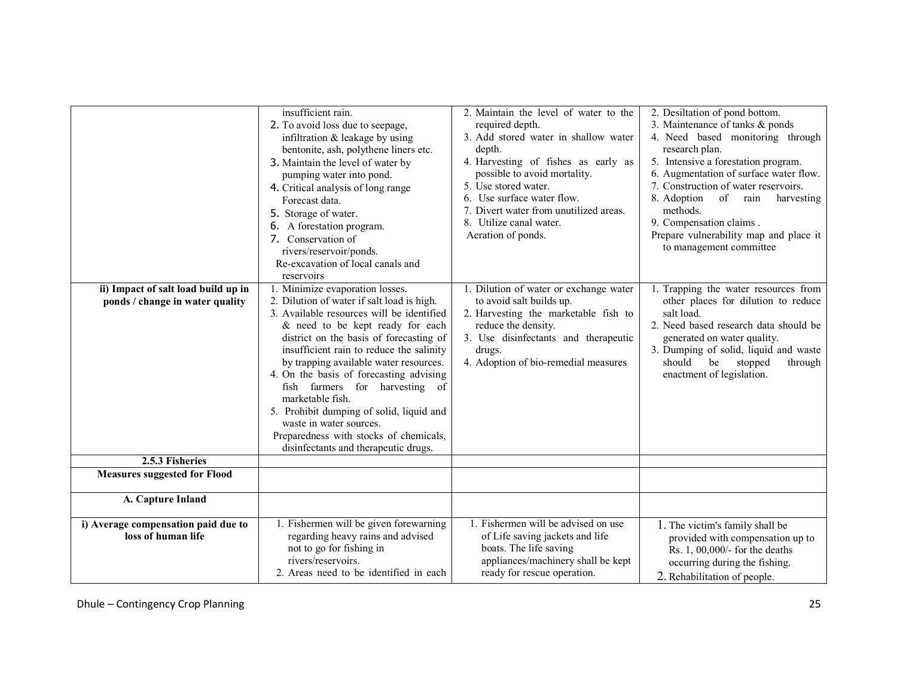|                                                                        | insufficient rain.<br>2. To avoid loss due to seepage,<br>infiltration $&$ leakage by using<br>bentonite, ash, polythene liners etc.<br>3. Maintain the level of water by<br>pumping water into pond.<br>4. Critical analysis of long range<br>Forecast data.<br>5. Storage of water.<br>6. A forestation program.<br>7. Conservation of<br>rivers/reservoir/ponds.<br>Re-excavation of local canals and<br>reservoirs                                                                                                                                    | 2. Maintain the level of water to the<br>required depth.<br>3. Add stored water in shallow water<br>depth.<br>4. Harvesting of fishes as early as<br>possible to avoid mortality.<br>5. Use stored water.<br>6. Use surface water flow.<br>7. Divert water from unutilized areas.<br>8. Utilize canal water.<br>Aeration of ponds. | 2. Desiltation of pond bottom.<br>3. Maintenance of tanks & ponds<br>4. Need based monitoring through<br>research plan.<br>5. Intensive a forestation program.<br>6. Augmentation of surface water flow.<br>7. Construction of water reservoirs.<br>8. Adoption<br>of<br>rain<br>harvesting<br>methods.<br>9. Compensation claims.<br>Prepare vulnerability map and place it<br>to management committee |
|------------------------------------------------------------------------|-----------------------------------------------------------------------------------------------------------------------------------------------------------------------------------------------------------------------------------------------------------------------------------------------------------------------------------------------------------------------------------------------------------------------------------------------------------------------------------------------------------------------------------------------------------|------------------------------------------------------------------------------------------------------------------------------------------------------------------------------------------------------------------------------------------------------------------------------------------------------------------------------------|---------------------------------------------------------------------------------------------------------------------------------------------------------------------------------------------------------------------------------------------------------------------------------------------------------------------------------------------------------------------------------------------------------|
| ii) Impact of salt load build up in<br>ponds / change in water quality | 1. Minimize evaporation losses.<br>2. Dilution of water if salt load is high.<br>3. Available resources will be identified<br>& need to be kept ready for each<br>district on the basis of forecasting of<br>insufficient rain to reduce the salinity<br>by trapping available water resources.<br>4. On the basis of forecasting advising<br>fish farmers for harvesting of<br>marketable fish.<br>5. Prohibit dumping of solid, liquid and<br>waste in water sources.<br>Preparedness with stocks of chemicals,<br>disinfectants and therapeutic drugs. | 1. Dilution of water or exchange water<br>to avoid salt builds up.<br>2. Harvesting the marketable fish to<br>reduce the density.<br>3. Use disinfectants and therapeutic<br>drugs.<br>4. Adoption of bio-remedial measures                                                                                                        | 1. Trapping the water resources from<br>other places for dilution to reduce<br>salt load.<br>2. Need based research data should be<br>generated on water quality.<br>3. Dumping of solid, liquid and waste<br>should<br>be<br>stopped<br>through<br>enactment of legislation.                                                                                                                           |
| 2.5.3 Fisheries                                                        |                                                                                                                                                                                                                                                                                                                                                                                                                                                                                                                                                           |                                                                                                                                                                                                                                                                                                                                    |                                                                                                                                                                                                                                                                                                                                                                                                         |
| <b>Measures suggested for Flood</b>                                    |                                                                                                                                                                                                                                                                                                                                                                                                                                                                                                                                                           |                                                                                                                                                                                                                                                                                                                                    |                                                                                                                                                                                                                                                                                                                                                                                                         |
| A. Capture Inland                                                      |                                                                                                                                                                                                                                                                                                                                                                                                                                                                                                                                                           |                                                                                                                                                                                                                                                                                                                                    |                                                                                                                                                                                                                                                                                                                                                                                                         |
| i) Average compensation paid due to<br>loss of human life              | 1. Fishermen will be given forewarning<br>regarding heavy rains and advised<br>not to go for fishing in<br>rivers/reservoirs.<br>2. Areas need to be identified in each                                                                                                                                                                                                                                                                                                                                                                                   | 1. Fishermen will be advised on use<br>of Life saving jackets and life<br>boats. The life saving<br>appliances/machinery shall be kept<br>ready for rescue operation.                                                                                                                                                              | 1. The victim's family shall be<br>provided with compensation up to<br>Rs. 1, 00,000/- for the deaths<br>occurring during the fishing.<br>2. Rehabilitation of people.                                                                                                                                                                                                                                  |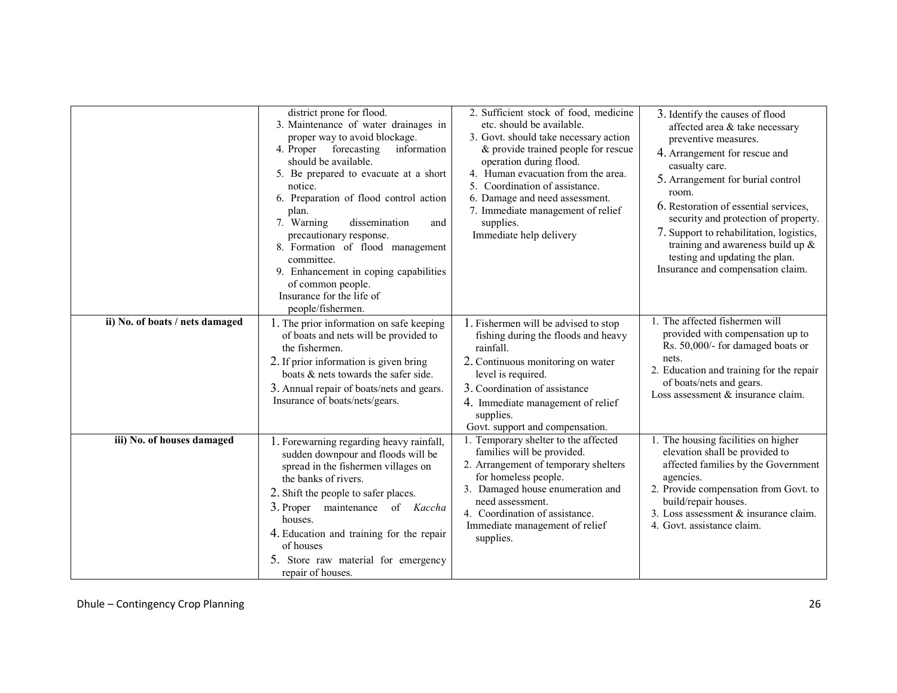|                                 | district prone for flood.<br>3. Maintenance of water drainages in<br>proper way to avoid blockage.<br>4. Proper forecasting<br>information<br>should be available.<br>5. Be prepared to evacuate at a short<br>notice.<br>6. Preparation of flood control action<br>plan.<br>dissemination<br>7. Warning<br>and<br>precautionary response.<br>8. Formation of flood management<br>committee.<br>9. Enhancement in coping capabilities<br>of common people.<br>Insurance for the life of<br>people/fishermen. | 2. Sufficient stock of food, medicine<br>etc. should be available.<br>3. Govt. should take necessary action<br>& provide trained people for rescue<br>operation during flood.<br>4. Human evacuation from the area.<br>Coordination of assistance.<br>6. Damage and need assessment.<br>7. Immediate management of relief<br>supplies.<br>Immediate help delivery | 3. Identify the causes of flood<br>affected area & take necessary<br>preventive measures.<br>4. Arrangement for rescue and<br>casualty care.<br>5. Arrangement for burial control<br>room.<br>6. Restoration of essential services,<br>security and protection of property.<br>7. Support to rehabilitation, logistics,<br>training and awareness build up $\&$<br>testing and updating the plan.<br>Insurance and compensation claim. |
|---------------------------------|--------------------------------------------------------------------------------------------------------------------------------------------------------------------------------------------------------------------------------------------------------------------------------------------------------------------------------------------------------------------------------------------------------------------------------------------------------------------------------------------------------------|-------------------------------------------------------------------------------------------------------------------------------------------------------------------------------------------------------------------------------------------------------------------------------------------------------------------------------------------------------------------|----------------------------------------------------------------------------------------------------------------------------------------------------------------------------------------------------------------------------------------------------------------------------------------------------------------------------------------------------------------------------------------------------------------------------------------|
| ii) No. of boats / nets damaged | 1. The prior information on safe keeping<br>of boats and nets will be provided to<br>the fishermen.<br>2. If prior information is given bring<br>boats & nets towards the safer side.<br>3. Annual repair of boats/nets and gears.<br>Insurance of boats/nets/gears.                                                                                                                                                                                                                                         | 1. Fishermen will be advised to stop<br>fishing during the floods and heavy<br>rainfall.<br>2. Continuous monitoring on water<br>level is required.<br>3. Coordination of assistance<br>4. Immediate management of relief<br>supplies.<br>Govt. support and compensation.                                                                                         | The affected fishermen will<br>provided with compensation up to<br>Rs. 50,000/- for damaged boats or<br>nets.<br>2. Education and training for the repair<br>of boats/nets and gears.<br>Loss assessment & insurance claim.                                                                                                                                                                                                            |
| iii) No. of houses damaged      | 1. Forewarning regarding heavy rainfall,<br>sudden downpour and floods will be<br>spread in the fishermen villages on<br>the banks of rivers.<br>2. Shift the people to safer places.<br>maintenance of Kaccha<br>3. Proper<br>houses.<br>4. Education and training for the repair<br>of houses<br>5. Store raw material for emergency<br>repair of houses.                                                                                                                                                  | 1. Temporary shelter to the affected<br>families will be provided.<br>2. Arrangement of temporary shelters<br>for homeless people.<br>3. Damaged house enumeration and<br>need assessment.<br>4. Coordination of assistance.<br>Immediate management of relief<br>supplies.                                                                                       | 1. The housing facilities on higher<br>elevation shall be provided to<br>affected families by the Government<br>agencies.<br>2. Provide compensation from Govt. to<br>build/repair houses.<br>3. Loss assessment & insurance claim.<br>4. Govt. assistance claim.                                                                                                                                                                      |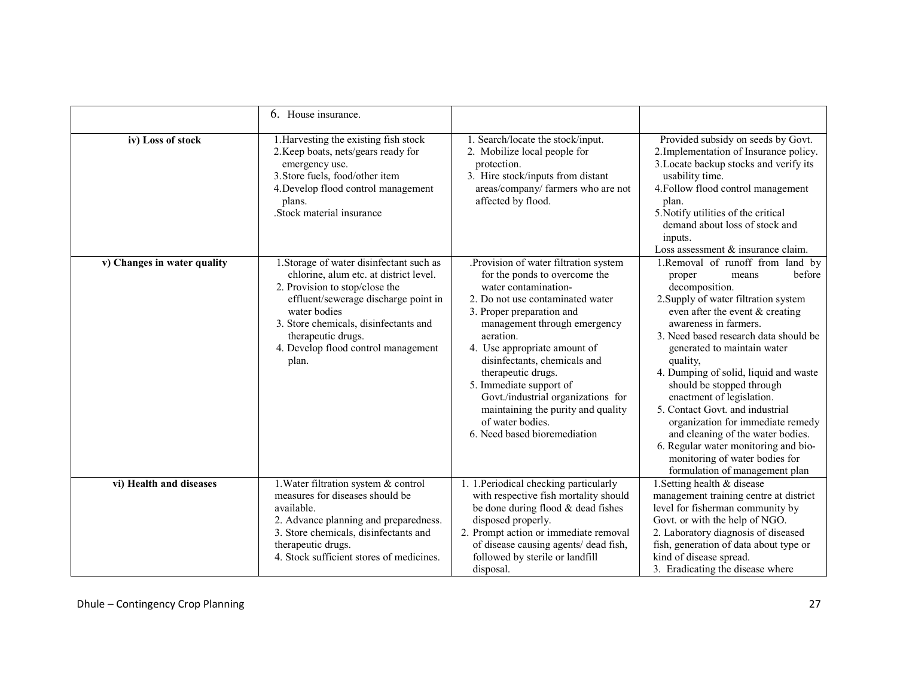|                             | 6. House insurance.                                                                                                                                                                                                                                                                         |                                                                                                                                                                                                                                                                                                                                                                                                                                                               |                                                                                                                                                                                                                                                                                                                                                                                                                                                                                                                                                                                                       |
|-----------------------------|---------------------------------------------------------------------------------------------------------------------------------------------------------------------------------------------------------------------------------------------------------------------------------------------|---------------------------------------------------------------------------------------------------------------------------------------------------------------------------------------------------------------------------------------------------------------------------------------------------------------------------------------------------------------------------------------------------------------------------------------------------------------|-------------------------------------------------------------------------------------------------------------------------------------------------------------------------------------------------------------------------------------------------------------------------------------------------------------------------------------------------------------------------------------------------------------------------------------------------------------------------------------------------------------------------------------------------------------------------------------------------------|
| iv) Loss of stock           | 1. Harvesting the existing fish stock<br>2. Keep boats, nets/gears ready for<br>emergency use.<br>3. Store fuels, food/other item<br>4. Develop flood control management<br>plans.<br>.Stock material insurance                                                                             | 1. Search/locate the stock/input.<br>2. Mobilize local people for<br>protection.<br>3. Hire stock/inputs from distant<br>areas/company/ farmers who are not<br>affected by flood.                                                                                                                                                                                                                                                                             | Provided subsidy on seeds by Govt.<br>2. Implementation of Insurance policy.<br>3. Locate backup stocks and verify its<br>usability time.<br>4. Follow flood control management<br>plan.<br>5. Notify utilities of the critical<br>demand about loss of stock and<br>inputs.<br>Loss assessment & insurance claim.                                                                                                                                                                                                                                                                                    |
| v) Changes in water quality | 1. Storage of water disinfectant such as<br>chlorine, alum etc. at district level.<br>2. Provision to stop/close the<br>effluent/sewerage discharge point in<br>water bodies<br>3. Store chemicals, disinfectants and<br>therapeutic drugs.<br>4. Develop flood control management<br>plan. | .Provision of water filtration system<br>for the ponds to overcome the<br>water contamination-<br>2. Do not use contaminated water<br>3. Proper preparation and<br>management through emergency<br>aeration.<br>4. Use appropriate amount of<br>disinfectants, chemicals and<br>therapeutic drugs.<br>5. Immediate support of<br>Govt./industrial organizations for<br>maintaining the purity and quality<br>of water bodies.<br>6. Need based bioremediation | 1.Removal of runoff from land by<br>before<br>proper<br>means<br>decomposition.<br>2. Supply of water filtration system<br>even after the event $&$ creating<br>awareness in farmers.<br>3. Need based research data should be<br>generated to maintain water<br>quality,<br>4. Dumping of solid, liquid and waste<br>should be stopped through<br>enactment of legislation.<br>5. Contact Govt. and industrial<br>organization for immediate remedy<br>and cleaning of the water bodies.<br>6. Regular water monitoring and bio-<br>monitoring of water bodies for<br>formulation of management plan |
| vi) Health and diseases     | 1. Water filtration system & control<br>measures for diseases should be<br>available.<br>2. Advance planning and preparedness.<br>3. Store chemicals, disinfectants and<br>therapeutic drugs.<br>4. Stock sufficient stores of medicines.                                                   | 1. 1. Periodical checking particularly<br>with respective fish mortality should<br>be done during flood & dead fishes<br>disposed properly.<br>2. Prompt action or immediate removal<br>of disease causing agents/ dead fish,<br>followed by sterile or landfill<br>disposal.                                                                                                                                                                                 | 1. Setting health & disease<br>management training centre at district<br>level for fisherman community by<br>Govt. or with the help of NGO.<br>2. Laboratory diagnosis of diseased<br>fish, generation of data about type or<br>kind of disease spread.<br>3. Eradicating the disease where                                                                                                                                                                                                                                                                                                           |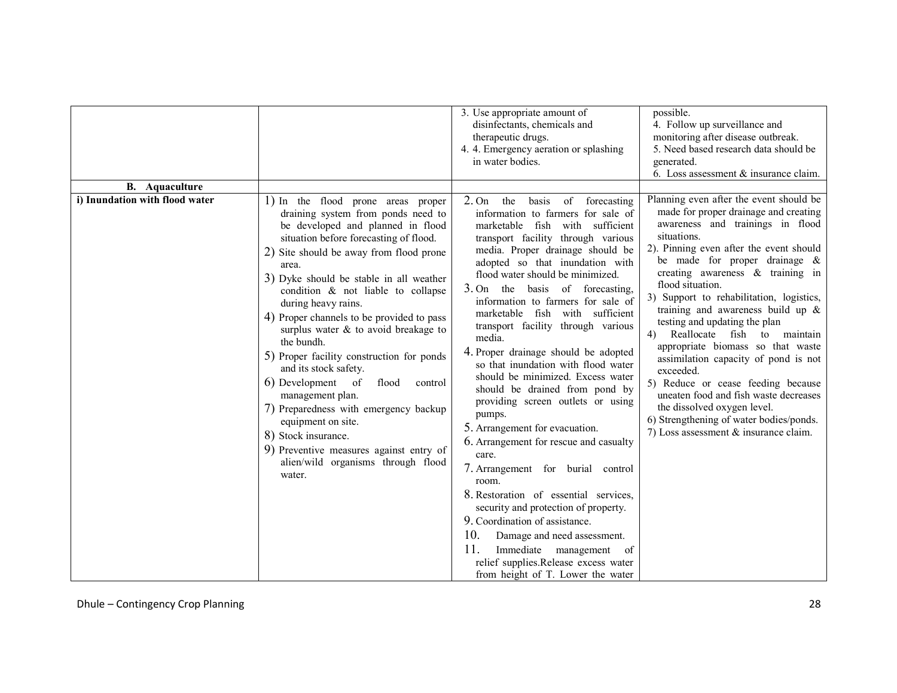| <b>B.</b> Aquaculture          |                                                                                                                                                                                                                                                                                                                                                                                                                                                                                                                                                                                                                                                                                                                                               | 3. Use appropriate amount of<br>disinfectants, chemicals and<br>therapeutic drugs.<br>4. 4. Emergency aeration or splashing<br>in water bodies.                                                                                                                                                                                                                                                                                                                                                                                                                                                                                                                                                                                                                                                                                                                                                                                                                                                                                                           | possible.<br>4. Follow up surveillance and<br>monitoring after disease outbreak.<br>5. Need based research data should be<br>generated.<br>6. Loss assessment & insurance claim.                                                                                                                                                                                                                                                                                                                                                                                                                                                                                                                                                                |
|--------------------------------|-----------------------------------------------------------------------------------------------------------------------------------------------------------------------------------------------------------------------------------------------------------------------------------------------------------------------------------------------------------------------------------------------------------------------------------------------------------------------------------------------------------------------------------------------------------------------------------------------------------------------------------------------------------------------------------------------------------------------------------------------|-----------------------------------------------------------------------------------------------------------------------------------------------------------------------------------------------------------------------------------------------------------------------------------------------------------------------------------------------------------------------------------------------------------------------------------------------------------------------------------------------------------------------------------------------------------------------------------------------------------------------------------------------------------------------------------------------------------------------------------------------------------------------------------------------------------------------------------------------------------------------------------------------------------------------------------------------------------------------------------------------------------------------------------------------------------|-------------------------------------------------------------------------------------------------------------------------------------------------------------------------------------------------------------------------------------------------------------------------------------------------------------------------------------------------------------------------------------------------------------------------------------------------------------------------------------------------------------------------------------------------------------------------------------------------------------------------------------------------------------------------------------------------------------------------------------------------|
| i) Inundation with flood water | 1) In the flood prone areas proper<br>draining system from ponds need to<br>be developed and planned in flood<br>situation before forecasting of flood.<br>2) Site should be away from flood prone<br>area.<br>3) Dyke should be stable in all weather<br>condition & not liable to collapse<br>during heavy rains.<br>4) Proper channels to be provided to pass<br>surplus water $\&$ to avoid breakage to<br>the bundh.<br>5) Proper facility construction for ponds<br>and its stock safety.<br>6) Development of<br>flood<br>control<br>management plan.<br>7) Preparedness with emergency backup<br>equipment on site.<br>8) Stock insurance.<br>9) Preventive measures against entry of<br>alien/wild organisms through flood<br>water. | 2. On<br>the<br>of<br>basis<br>forecasting<br>information to farmers for sale of<br>fish<br>marketable<br>with<br>sufficient<br>transport facility through various<br>media. Proper drainage should be<br>adopted so that inundation with<br>flood water should be minimized.<br>3. On the basis of forecasting,<br>information to farmers for sale of<br>marketable fish with sufficient<br>transport facility through various<br>media.<br>4. Proper drainage should be adopted<br>so that inundation with flood water<br>should be minimized. Excess water<br>should be drained from pond by<br>providing screen outlets or using<br>pumps.<br>5. Arrangement for evacuation.<br>6. Arrangement for rescue and casualty<br>care.<br>7. Arrangement for burial control<br>room.<br>8. Restoration of essential services,<br>security and protection of property.<br>9. Coordination of assistance.<br>10.<br>Damage and need assessment.<br>11.<br>Immediate management of<br>relief supplies.Release excess water<br>from height of T. Lower the water | Planning even after the event should be<br>made for proper drainage and creating<br>awareness and trainings in flood<br>situations.<br>2). Pinning even after the event should<br>be made for proper drainage $\&$<br>creating awareness $\&$ training in<br>flood situation.<br>3) Support to rehabilitation, logistics,<br>training and awareness build up $\&$<br>testing and updating the plan<br>Reallocate<br>fish<br>4)<br>to<br>maintain<br>appropriate biomass so that waste<br>assimilation capacity of pond is not<br>exceeded.<br>5) Reduce or cease feeding because<br>uneaten food and fish waste decreases<br>the dissolved oxygen level.<br>6) Strengthening of water bodies/ponds.<br>7) Loss assessment $\&$ insurance claim. |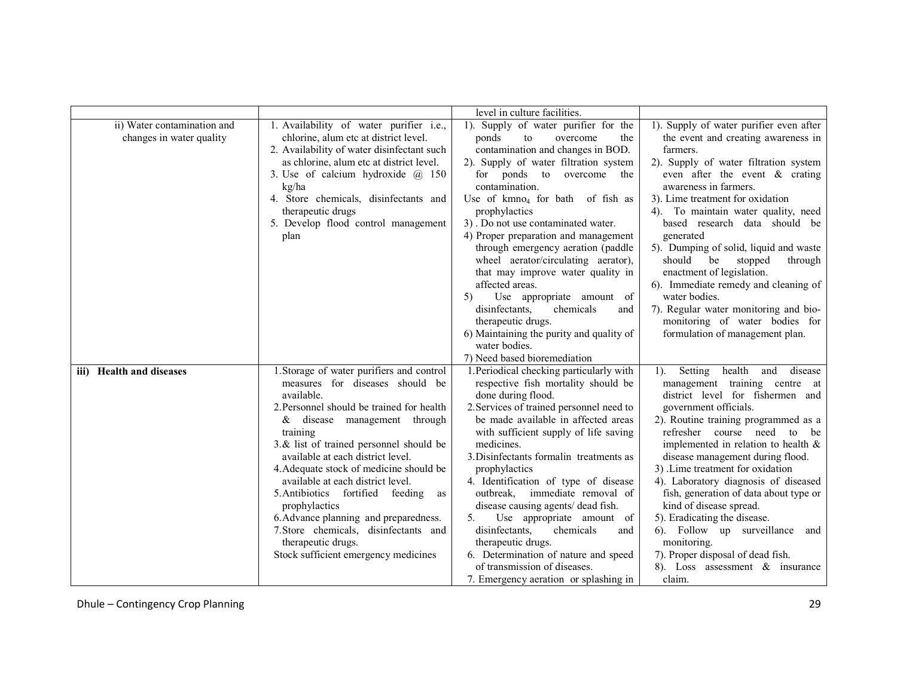|                                                         |                                                                                                                                                                                                                                                                                                                                                                                                                                                                                                                                                                   | level in culture facilities.                                                                                                                                                                                                                                                                                                                                                                                                                                                                                                                                                                                                                                                        |                                                                                                                                                                                                                                                                                                                                                                                                                                                                                                                                                                                                                |
|---------------------------------------------------------|-------------------------------------------------------------------------------------------------------------------------------------------------------------------------------------------------------------------------------------------------------------------------------------------------------------------------------------------------------------------------------------------------------------------------------------------------------------------------------------------------------------------------------------------------------------------|-------------------------------------------------------------------------------------------------------------------------------------------------------------------------------------------------------------------------------------------------------------------------------------------------------------------------------------------------------------------------------------------------------------------------------------------------------------------------------------------------------------------------------------------------------------------------------------------------------------------------------------------------------------------------------------|----------------------------------------------------------------------------------------------------------------------------------------------------------------------------------------------------------------------------------------------------------------------------------------------------------------------------------------------------------------------------------------------------------------------------------------------------------------------------------------------------------------------------------------------------------------------------------------------------------------|
| ii) Water contamination and<br>changes in water quality | 1. Availability of water purifier i.e.,<br>chlorine, alum etc at district level.<br>2. Availability of water disinfectant such<br>as chlorine, alum etc at district level.<br>3. Use of calcium hydroxide $\omega$ 150<br>kg/ha<br>4. Store chemicals, disinfectants and<br>therapeutic drugs<br>5. Develop flood control management<br>plan                                                                                                                                                                                                                      | 1). Supply of water purifier for the<br>overcome<br>ponds<br>to<br>the<br>contamination and changes in BOD.<br>2). Supply of water filtration system<br>for ponds to overcome the<br>contamination.<br>Use of kmno <sub>4</sub> for bath of fish as<br>prophylactics<br>3). Do not use contaminated water.<br>4) Proper preparation and management<br>through emergency aeration (paddle<br>wheel aerator/circulating aerator),<br>that may improve water quality in<br>affected areas.<br>Use appropriate amount of<br>5)<br>disinfectants,<br>chemicals<br>and<br>therapeutic drugs.<br>6) Maintaining the purity and quality of<br>water bodies.<br>7) Need based bioremediation | 1). Supply of water purifier even after<br>the event and creating awareness in<br>farmers.<br>2). Supply of water filtration system<br>even after the event $\&$ crating<br>awareness in farmers.<br>3). Lime treatment for oxidation<br>4). To maintain water quality, need<br>based research data should be<br>generated<br>5). Dumping of solid, liquid and waste<br>should<br>be<br>stopped<br>through<br>enactment of legislation.<br>6). Immediate remedy and cleaning of<br>water bodies.<br>7). Regular water monitoring and bio-<br>monitoring of water bodies for<br>formulation of management plan. |
| iii) Health and diseases                                | 1. Storage of water purifiers and control<br>measures for diseases should be<br>available.<br>2. Personnel should be trained for health<br>disease management through<br>&<br>training<br>3.& list of trained personnel should be<br>available at each district level.<br>4. Adequate stock of medicine should be<br>available at each district level.<br>5. Antibiotics fortified feeding<br>as<br>prophylactics<br>6. Advance planning and preparedness.<br>7. Store chemicals, disinfectants and<br>therapeutic drugs.<br>Stock sufficient emergency medicines | 1. Periodical checking particularly with<br>respective fish mortality should be<br>done during flood.<br>2. Services of trained personnel need to<br>be made available in affected areas<br>with sufficient supply of life saving<br>medicines.<br>3. Disinfectants formalin treatments as<br>prophylactics<br>4. Identification of type of disease<br>outbreak,<br>immediate removal of<br>disease causing agents/ dead fish.<br>5.<br>Use appropriate amount of<br>disinfectants,<br>chemicals<br>and<br>therapeutic drugs.<br>6. Determination of nature and speed<br>of transmission of diseases.<br>7. Emergency aeration or splashing in                                      | health and<br>1). Setting<br>disease<br>management training centre at<br>district level for fishermen and<br>government officials.<br>2). Routine training programmed as a<br>refresher course need to be<br>implemented in relation to health $\&$<br>disease management during flood.<br>3) .Lime treatment for oxidation<br>4). Laboratory diagnosis of diseased<br>fish, generation of data about type or<br>kind of disease spread.<br>5). Eradicating the disease.<br>6). Follow up surveillance and<br>monitoring.<br>7). Proper disposal of dead fish.<br>8). Loss assessment $\&$ insurance<br>claim. |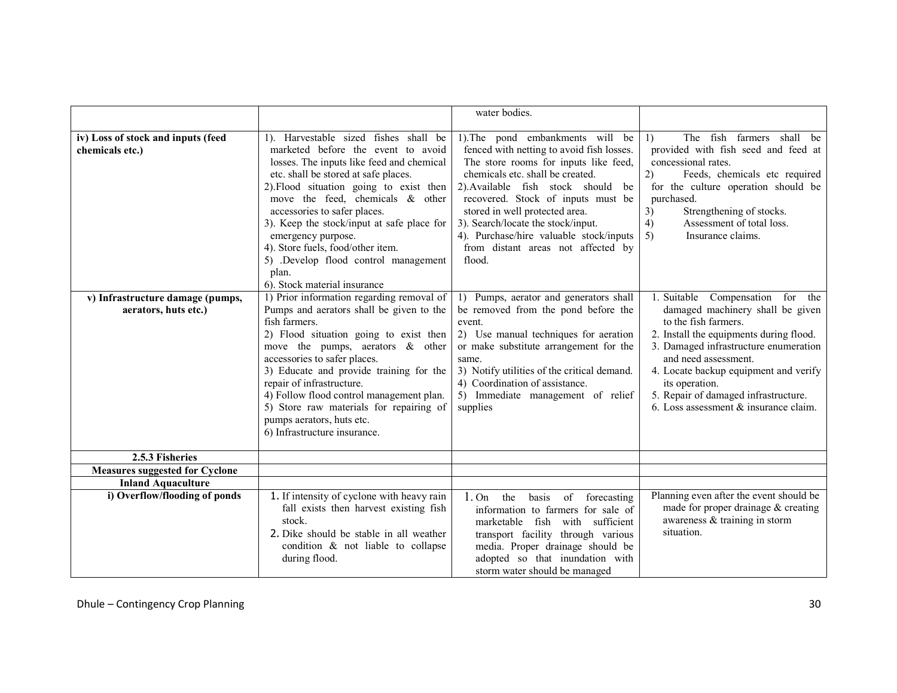|                                                            |                                                                                                                                                                                                                                                                                                                                                                                                                                                     | water bodies.                                                                                                                                                                                                                                                                                                                                                                                                |                                                                                                                                                                                                                                                                                                                                                              |
|------------------------------------------------------------|-----------------------------------------------------------------------------------------------------------------------------------------------------------------------------------------------------------------------------------------------------------------------------------------------------------------------------------------------------------------------------------------------------------------------------------------------------|--------------------------------------------------------------------------------------------------------------------------------------------------------------------------------------------------------------------------------------------------------------------------------------------------------------------------------------------------------------------------------------------------------------|--------------------------------------------------------------------------------------------------------------------------------------------------------------------------------------------------------------------------------------------------------------------------------------------------------------------------------------------------------------|
| iv) Loss of stock and inputs (feed<br>chemicals etc.)      | 1). Harvestable sized fishes shall be<br>marketed before the event to avoid<br>losses. The inputs like feed and chemical<br>etc. shall be stored at safe places.<br>2). Flood situation going to exist then<br>move the feed, chemicals $\&$ other<br>accessories to safer places.<br>3). Keep the stock/input at safe place for<br>emergency purpose.<br>4). Store fuels, food/other item.<br>5) .Develop flood control management                 | 1). The pond embankments will be<br>fenced with netting to avoid fish losses.<br>The store rooms for inputs like feed,<br>chemicals etc. shall be created.<br>2). Available fish stock should<br>be<br>recovered. Stock of inputs must be<br>stored in well protected area.<br>3). Search/locate the stock/input.<br>4). Purchase/hire valuable stock/inputs<br>from distant areas not affected by<br>flood. | The fish farmers shall be<br>$\left  \right $<br>provided with fish seed and feed at<br>concessional rates.<br>(2)<br>Feeds, chemicals etc required<br>for the culture operation should be<br>purchased.<br>Strengthening of stocks.<br>3)<br>4)<br>Assessment of total loss.<br>5)<br>Insurance claims.                                                     |
|                                                            | plan.<br>6). Stock material insurance                                                                                                                                                                                                                                                                                                                                                                                                               |                                                                                                                                                                                                                                                                                                                                                                                                              |                                                                                                                                                                                                                                                                                                                                                              |
| v) Infrastructure damage (pumps,<br>aerators, huts etc.)   | 1) Prior information regarding removal of<br>Pumps and aerators shall be given to the<br>fish farmers.<br>2) Flood situation going to exist then<br>move the pumps, aerators $\&$ other<br>accessories to safer places.<br>3) Educate and provide training for the<br>repair of infrastructure.<br>4) Follow flood control management plan.<br>5) Store raw materials for repairing of<br>pumps aerators, huts etc.<br>6) Infrastructure insurance. | 1) Pumps, aerator and generators shall<br>be removed from the pond before the<br>event<br>2) Use manual techniques for aeration<br>or make substitute arrangement for the<br>same.<br>3) Notify utilities of the critical demand.<br>4) Coordination of assistance.<br>5) Immediate management of relief<br>supplies                                                                                         | 1. Suitable<br>Compensation<br>for the<br>damaged machinery shall be given<br>to the fish farmers.<br>2. Install the equipments during flood.<br>3. Damaged infrastructure enumeration<br>and need assessment.<br>4. Locate backup equipment and verify<br>its operation.<br>5. Repair of damaged infrastructure.<br>6. Loss assessment $&$ insurance claim. |
| 2.5.3 Fisheries                                            |                                                                                                                                                                                                                                                                                                                                                                                                                                                     |                                                                                                                                                                                                                                                                                                                                                                                                              |                                                                                                                                                                                                                                                                                                                                                              |
| Measures suggested for Cyclone                             |                                                                                                                                                                                                                                                                                                                                                                                                                                                     |                                                                                                                                                                                                                                                                                                                                                                                                              |                                                                                                                                                                                                                                                                                                                                                              |
| <b>Inland Aquaculture</b><br>i) Overflow/flooding of ponds | 1. If intensity of cyclone with heavy rain<br>fall exists then harvest existing fish<br>stock.<br>2. Dike should be stable in all weather<br>condition & not liable to collapse<br>during flood.                                                                                                                                                                                                                                                    | 1.0n<br>the<br>basis<br>of<br>forecasting<br>information to farmers for sale of<br>sufficient<br>marketable fish with<br>transport facility through various<br>media. Proper drainage should be<br>adopted so that inundation with<br>storm water should be managed                                                                                                                                          | Planning even after the event should be<br>made for proper drainage & creating<br>awareness & training in storm<br>situation.                                                                                                                                                                                                                                |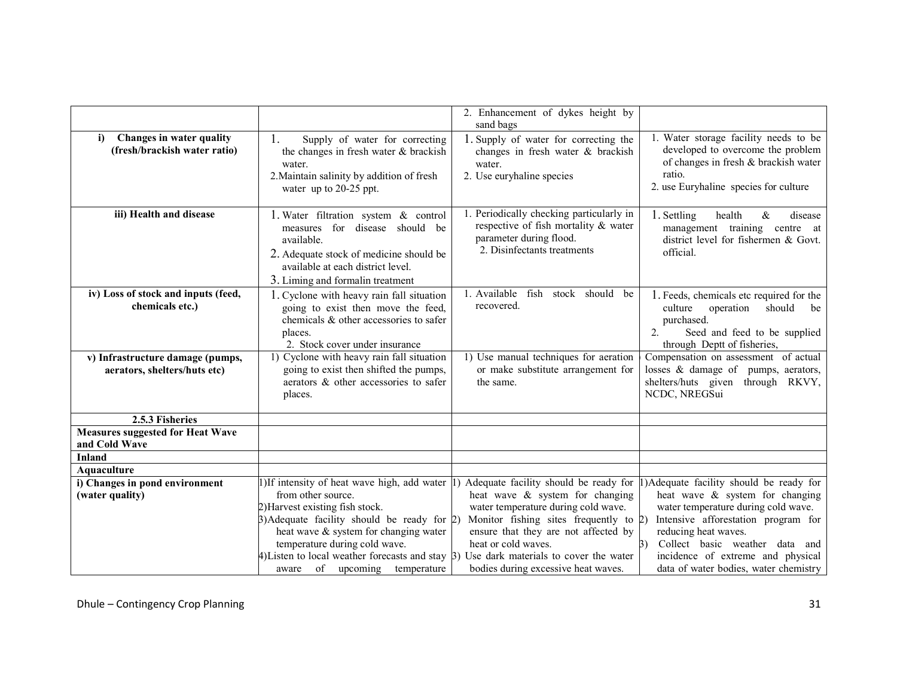|                                                                  |                                                                                                                                                                                                                                                                                                                                                                                                                                  | 2. Enhancement of dykes height by<br>sand bags                                                                                                                                     |                                                                                                                                                                                                                    |
|------------------------------------------------------------------|----------------------------------------------------------------------------------------------------------------------------------------------------------------------------------------------------------------------------------------------------------------------------------------------------------------------------------------------------------------------------------------------------------------------------------|------------------------------------------------------------------------------------------------------------------------------------------------------------------------------------|--------------------------------------------------------------------------------------------------------------------------------------------------------------------------------------------------------------------|
| Changes in water quality<br>i)<br>(fresh/brackish water ratio)   | 1.<br>Supply of water for correcting<br>the changes in fresh water & brackish<br>water.<br>2. Maintain salinity by addition of fresh<br>water up to 20-25 ppt.                                                                                                                                                                                                                                                                   | 1. Supply of water for correcting the<br>changes in fresh water & brackish<br>water.<br>2. Use euryhaline species                                                                  | 1. Water storage facility needs to be<br>developed to overcome the problem<br>of changes in fresh & brackish water<br>ratio.<br>2. use Euryhaline species for culture                                              |
| iii) Health and disease                                          | 1. Water filtration system & control<br>measures for disease should be<br>available.<br>2. Adequate stock of medicine should be<br>available at each district level.<br>3. Liming and formalin treatment                                                                                                                                                                                                                         | 1. Periodically checking particularly in<br>respective of fish mortality & water<br>parameter during flood.<br>2. Disinfectants treatments                                         | 1. Settling<br>$\&$<br>health<br>disease<br>management training centre at<br>district level for fishermen & Govt.<br>official.                                                                                     |
| iv) Loss of stock and inputs (feed,<br>chemicals etc.)           | 1. Cyclone with heavy rain fall situation<br>going to exist then move the feed,<br>chemicals & other accessories to safer<br>places.<br>2. Stock cover under insurance                                                                                                                                                                                                                                                           | 1. Available<br>fish<br>stock should<br>be<br>recovered.                                                                                                                           | 1. Feeds, chemicals etc required for the<br>culture<br>operation<br>should<br>be<br>purchased.<br>Seed and feed to be supplied<br>$\overline{2}$ .<br>through Deptt of fisheries,                                  |
| v) Infrastructure damage (pumps,<br>aerators, shelters/huts etc) | 1) Cyclone with heavy rain fall situation<br>going to exist then shifted the pumps,<br>aerators & other accessories to safer<br>places.                                                                                                                                                                                                                                                                                          | 1) Use manual techniques for aeration<br>or make substitute arrangement for<br>the same.                                                                                           | Compensation on assessment of actual<br>losses & damage of pumps, aerators,<br>shelters/huts given through RKVY,<br>NCDC, NREGSui                                                                                  |
| 2.5.3 Fisheries                                                  |                                                                                                                                                                                                                                                                                                                                                                                                                                  |                                                                                                                                                                                    |                                                                                                                                                                                                                    |
| <b>Measures suggested for Heat Wave</b><br>and Cold Wave         |                                                                                                                                                                                                                                                                                                                                                                                                                                  |                                                                                                                                                                                    |                                                                                                                                                                                                                    |
| <b>Inland</b>                                                    |                                                                                                                                                                                                                                                                                                                                                                                                                                  |                                                                                                                                                                                    |                                                                                                                                                                                                                    |
| Aquaculture                                                      |                                                                                                                                                                                                                                                                                                                                                                                                                                  |                                                                                                                                                                                    |                                                                                                                                                                                                                    |
| i) Changes in pond environment<br>(water quality)                | 1) If intensity of heat wave high, add water 1) Adequate facility should be ready for 1) Adequate facility should be ready for<br>from other source.<br>2) Harvest existing fish stock.<br>$\beta$ )Adequate facility should be ready for 2)<br>heat wave & system for changing water<br>temperature during cold wave.<br>$\sharp$ ) Listen to local weather forecasts and stay $\sharp$ ) Use dark materials to cover the water | heat wave & system for changing<br>water temperature during cold wave.<br>Monitor fishing sites frequently to $2$ )<br>ensure that they are not affected by<br>heat or cold waves. | heat wave & system for changing<br>water temperature during cold wave.<br>Intensive afforestation program for<br>reducing heat waves.<br>Collect basic weather data and<br>3)<br>incidence of extreme and physical |
|                                                                  | of upcoming temperature<br>aware                                                                                                                                                                                                                                                                                                                                                                                                 | bodies during excessive heat waves.                                                                                                                                                | data of water bodies, water chemistry                                                                                                                                                                              |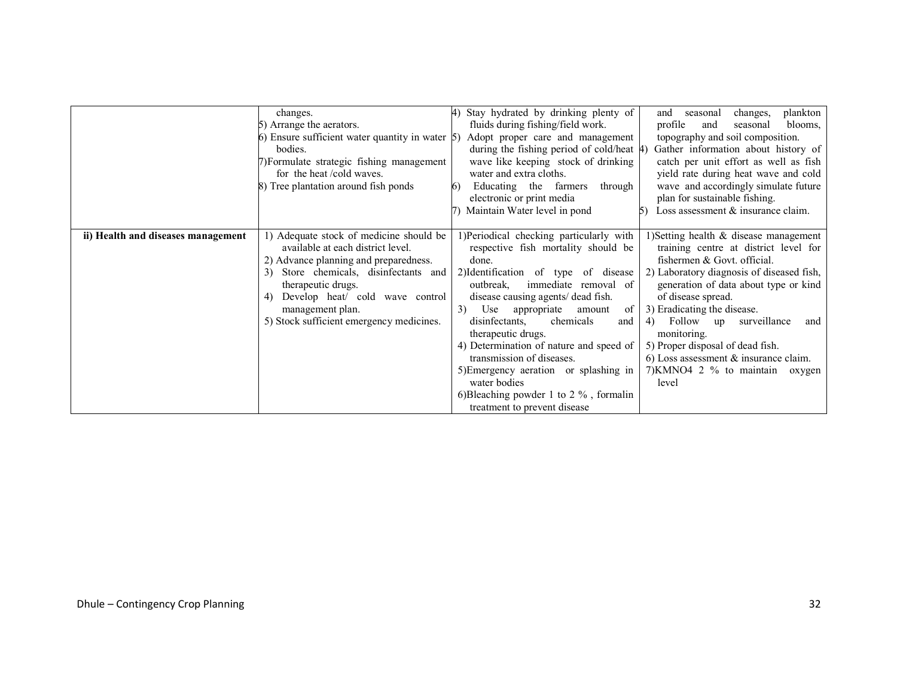|                                    | changes.<br>5) Arrange the aerators.<br>6) Ensure sufficient water quantity in water $\vert 5$ )<br>bodies.<br>7) Formulate strategic fishing management<br>for the heat /cold waves.<br>8) Tree plantation around fish ponds                                                                    | Stay hydrated by drinking plenty of<br>fluids during fishing/field work.<br>Adopt proper care and management<br>during the fishing period of cold/heat 4)<br>wave like keeping stock of drinking<br>water and extra cloths.<br>Educating the farmers<br>through<br>6)<br>electronic or print media<br>Maintain Water level in pond                                                                                                                                                                                                | plankton<br>changes,<br>and<br>seasonal<br>profile<br>blooms,<br>and<br>seasonal<br>topography and soil composition.<br>Gather information about history of<br>catch per unit effort as well as fish<br>yield rate during heat wave and cold<br>wave and accordingly simulate future<br>plan for sustainable fishing.<br>Loss assessment $&$ insurance claim.                                                                                     |
|------------------------------------|--------------------------------------------------------------------------------------------------------------------------------------------------------------------------------------------------------------------------------------------------------------------------------------------------|-----------------------------------------------------------------------------------------------------------------------------------------------------------------------------------------------------------------------------------------------------------------------------------------------------------------------------------------------------------------------------------------------------------------------------------------------------------------------------------------------------------------------------------|---------------------------------------------------------------------------------------------------------------------------------------------------------------------------------------------------------------------------------------------------------------------------------------------------------------------------------------------------------------------------------------------------------------------------------------------------|
|                                    |                                                                                                                                                                                                                                                                                                  |                                                                                                                                                                                                                                                                                                                                                                                                                                                                                                                                   |                                                                                                                                                                                                                                                                                                                                                                                                                                                   |
| ii) Health and diseases management | 1) Adequate stock of medicine should be<br>available at each district level.<br>2) Advance planning and preparedness.<br>Store chemicals, disinfectants and<br>3)<br>therapeutic drugs.<br>Develop heat/ cold wave control<br>4)<br>management plan.<br>5) Stock sufficient emergency medicines. | 1)Periodical checking particularly with<br>respective fish mortality should be<br>done.<br>2) Identification of type of disease<br>immediate removal of<br>outbreak,<br>disease causing agents/ dead fish.<br>Use<br>3)<br>appropriate<br>amount<br>of<br>disinfectants.<br>chemicals<br>and<br>therapeutic drugs.<br>4) Determination of nature and speed of<br>transmission of diseases.<br>5) Emergency aeration or splashing in<br>water bodies<br>6) Bleaching powder 1 to 2 $\%$ , formalin<br>treatment to prevent disease | 1) Setting health $\&$ disease management<br>training centre at district level for<br>fishermen & Govt. official.<br>2) Laboratory diagnosis of diseased fish,<br>generation of data about type or kind<br>of disease spread.<br>3) Eradicating the disease.<br>Follow up<br>surveillance<br>4)<br>and<br>monitoring.<br>5) Proper disposal of dead fish.<br>6) Loss assessment $\&$ insurance claim.<br>7) KMNO4 2 % to maintain oxygen<br>level |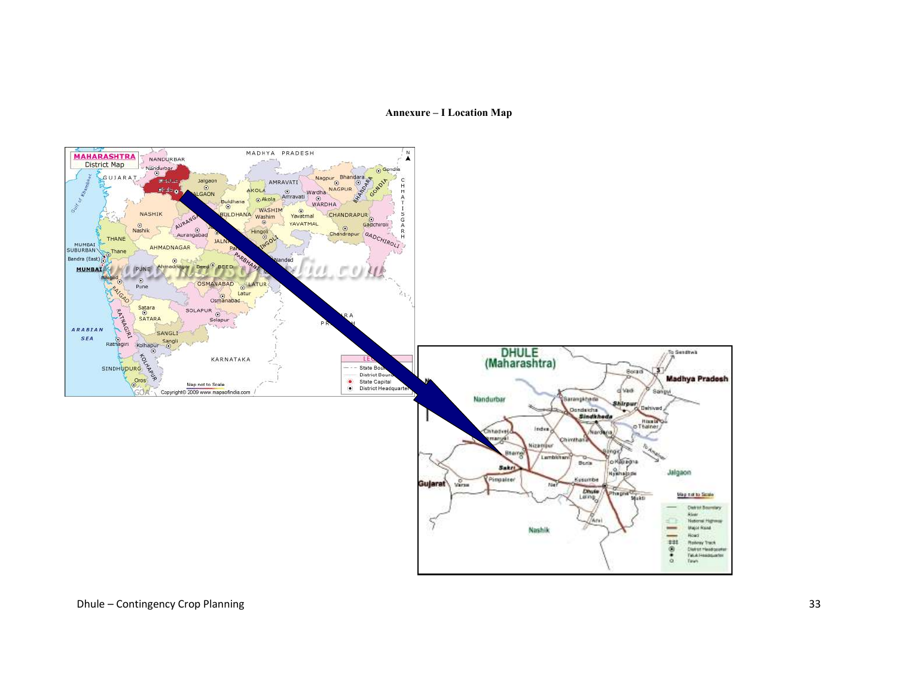### Annexure – I Location Map